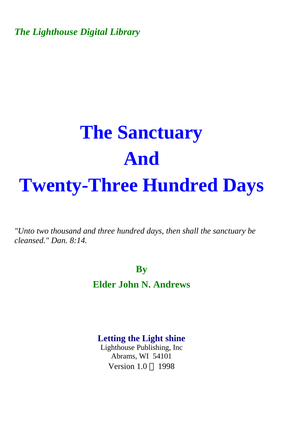*The Lighthouse Digital Library* 

# **The Sanctuary And Twenty-Three Hundred Days**

*"Unto two thousand and three hundred days, then shall the sanctuary be cleansed." Dan. 8:14.* 

**By** 

**Elder John N. Andrews** 

**Letting the Light shine** 

Lighthouse Publishing, Inc Abrams, WI 54101 Version  $1.0 \odot 1998$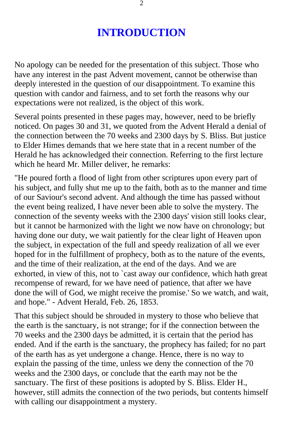# **INTRODUCTION**

No apology can be needed for the presentation of this subject. Those who have any interest in the past Advent movement, cannot be otherwise than deeply interested in the question of our disappointment. To examine this question with candor and fairness, and to set forth the reasons why our expectations were not realized, is the object of this work.

Several points presented in these pages may, however, need to be briefly noticed. On pages 30 and 31, we quoted from the Advent Herald a denial of the connection between the 70 weeks and 2300 days by S. Bliss. But justice to Elder Himes demands that we here state that in a recent number of the Herald he has acknowledged their connection. Referring to the first lecture which he heard Mr. Miller deliver, he remarks:

"He poured forth a flood of light from other scriptures upon every part of his subject, and fully shut me up to the faith, both as to the manner and time of our Saviour's second advent. And although the time has passed without the event being realized, I have never been able to solve the mystery. The connection of the seventy weeks with the 2300 days' vision still looks clear, but it cannot be harmonized with the light we now have on chronology; but having done our duty, we wait patiently for the clear light of Heaven upon the subject, in expectation of the full and speedy realization of all we ever hoped for in the fulfillment of prophecy, both as to the nature of the events, and the time of their realization, at the end of the days. And we are exhorted, in view of this, not to `cast away our confidence, which hath great recompense of reward, for we have need of patience, that after we have done the will of God, we might receive the promise.' So we watch, and wait, and hope." - Advent Herald, Feb. 26, 1853.

That this subject should be shrouded in mystery to those who believe that the earth is the sanctuary, is not strange; for if the connection between the 70 weeks and the 2300 days be admitted, it is certain that the period has ended. And if the earth is the sanctuary, the prophecy has failed; for no part of the earth has as yet undergone a change. Hence, there is no way to explain the passing of the time, unless we deny the connection of the 70 weeks and the 2300 days, or conclude that the earth may not be the sanctuary. The first of these positions is adopted by S. Bliss. Elder H., however, still admits the connection of the two periods, but contents himself with calling our disappointment a mystery.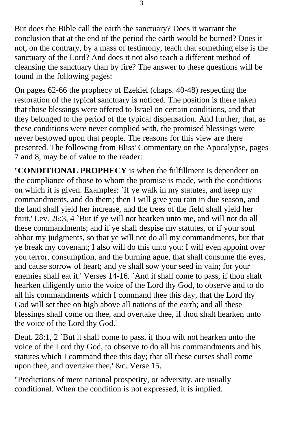But does the Bible call the earth the sanctuary? Does it warrant the conclusion that at the end of the period the earth would be burned? Does it not, on the contrary, by a mass of testimony, teach that something else is the sanctuary of the Lord? And does it not also teach a different method of cleansing the sanctuary than by fire? The answer to these questions will be found in the following pages:

On pages 62-66 the prophecy of Ezekiel (chaps. 40-48) respecting the restoration of the typical sanctuary is noticed. The position is there taken that those blessings were offered to Israel on certain conditions, and that they belonged to the period of the typical dispensation. And further, that, as these conditions were never complied with, the promised blessings were never bestowed upon that people. The reasons for this view are there presented. The following from Bliss' Commentary on the Apocalypse, pages 7 and 8, may be of value to the reader:

"**CONDITIONAL PROPHECY** is when the fulfillment is dependent on the compliance of those to whom the promise is made, with the conditions on which it is given. Examples: `If ye walk in my statutes, and keep my commandments, and do them; then I will give you rain in due season, and the land shall yield her increase, and the trees of the field shall yield her fruit.' Lev. 26:3, 4 `But if ye will not hearken unto me, and will not do all these commandments; and if ye shall despise my statutes, or if your soul abhor my judgments, so that ye will not do all my commandments, but that ye break my covenant; I also will do this unto you: I will even appoint over you terror, consumption, and the burning ague, that shall consume the eyes, and cause sorrow of heart; and ye shall sow your seed in vain; for your enemies shall eat it.' Verses 14-16. `And it shall come to pass, if thou shalt hearken diligently unto the voice of the Lord thy God, to observe and to do all his commandments which I command thee this day, that the Lord thy God will set thee on high above all nations of the earth; and all these blessings shall come on thee, and overtake thee, if thou shalt hearken unto the voice of the Lord thy God.'

Deut. 28:1, 2 `But it shall come to pass, if thou wilt not hearken unto the voice of the Lord thy God, to observe to do all his commandments and his statutes which I command thee this day; that all these curses shall come upon thee, and overtake thee,' &c. Verse 15.

"Predictions of mere national prosperity, or adversity, are usually conditional. When the condition is not expressed, it is implied.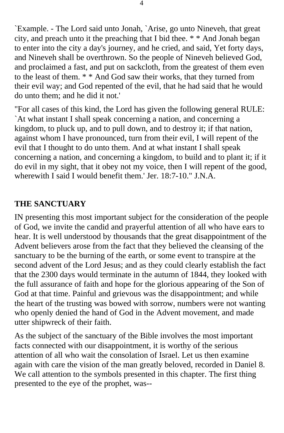`Example. - The Lord said unto Jonah, `Arise, go unto Nineveh, that great city, and preach unto it the preaching that I bid thee. \* \* And Jonah began to enter into the city a day's journey, and he cried, and said, Yet forty days, and Nineveh shall be overthrown. So the people of Nineveh believed God, and proclaimed a fast, and put on sackcloth, from the greatest of them even to the least of them. \* \* And God saw their works, that they turned from their evil way; and God repented of the evil, that he had said that he would do unto them; and he did it not.'

"For all cases of this kind, the Lord has given the following general RULE: `At what instant I shall speak concerning a nation, and concerning a kingdom, to pluck up, and to pull down, and to destroy it; if that nation, against whom I have pronounced, turn from their evil, I will repent of the evil that I thought to do unto them. And at what instant I shall speak concerning a nation, and concerning a kingdom, to build and to plant it; if it do evil in my sight, that it obey not my voice, then I will repent of the good, wherewith I said I would benefit them.' Jer. 18:7-10." J.N.A.

# **THE SANCTUARY**

IN presenting this most important subject for the consideration of the people of God, we invite the candid and prayerful attention of all who have ears to hear. It is well understood by thousands that the great disappointment of the Advent believers arose from the fact that they believed the cleansing of the sanctuary to be the burning of the earth, or some event to transpire at the second advent of the Lord Jesus; and as they could clearly establish the fact that the 2300 days would terminate in the autumn of 1844, they looked with the full assurance of faith and hope for the glorious appearing of the Son of God at that time. Painful and grievous was the disappointment; and while the heart of the trusting was bowed with sorrow, numbers were not wanting who openly denied the hand of God in the Advent movement, and made utter shipwreck of their faith.

As the subject of the sanctuary of the Bible involves the most important facts connected with our disappointment, it is worthy of the serious attention of all who wait the consolation of Israel. Let us then examine again with care the vision of the man greatly beloved, recorded in Daniel 8. We call attention to the symbols presented in this chapter. The first thing presented to the eye of the prophet, was--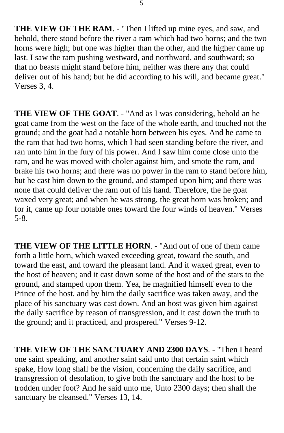**THE VIEW OF THE RAM**. - "Then I lifted up mine eyes, and saw, and behold, there stood before the river a ram which had two horns; and the two horns were high; but one was higher than the other, and the higher came up last. I saw the ram pushing westward, and northward, and southward; so that no beasts might stand before him, neither was there any that could deliver out of his hand; but he did according to his will, and became great." Verses 3, 4.

**THE VIEW OF THE GOAT**. - "And as I was considering, behold an he goat came from the west on the face of the whole earth, and touched not the ground; and the goat had a notable horn between his eyes. And he came to the ram that had two horns, which I had seen standing before the river, and ran unto him in the fury of his power. And I saw him come close unto the ram, and he was moved with choler against him, and smote the ram, and brake his two horns; and there was no power in the ram to stand before him, but he cast him down to the ground, and stamped upon him; and there was none that could deliver the ram out of his hand. Therefore, the he goat waxed very great; and when he was strong, the great horn was broken; and for it, came up four notable ones toward the four winds of heaven." Verses 5-8.

**THE VIEW OF THE LITTLE HORN**. - "And out of one of them came forth a little horn, which waxed exceeding great, toward the south, and toward the east, and toward the pleasant land. And it waxed great, even to the host of heaven; and it cast down some of the host and of the stars to the ground, and stamped upon them. Yea, he magnified himself even to the Prince of the host, and by him the daily sacrifice was taken away, and the place of his sanctuary was cast down. And an host was given him against the daily sacrifice by reason of transgression, and it cast down the truth to the ground; and it practiced, and prospered." Verses 9-12.

**THE VIEW OF THE SANCTUARY AND 2300 DAYS**. - "Then I heard one saint speaking, and another saint said unto that certain saint which spake, How long shall be the vision, concerning the daily sacrifice, and transgression of desolation, to give both the sanctuary and the host to be trodden under foot? And he said unto me, Unto 2300 days; then shall the sanctuary be cleansed." Verses 13, 14.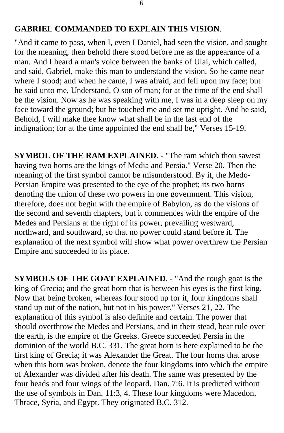#### **GABRIEL COMMANDED TO EXPLAIN THIS VISION**.

"And it came to pass, when I, even I Daniel, had seen the vision, and sought for the meaning, then behold there stood before me as the appearance of a man. And I heard a man's voice between the banks of Ulai, which called, and said, Gabriel, make this man to understand the vision. So he came near where I stood; and when he came, I was afraid, and fell upon my face; but he said unto me, Understand, O son of man; for at the time of the end shall be the vision. Now as he was speaking with me, I was in a deep sleep on my face toward the ground; but he touched me and set me upright. And he said, Behold, I will make thee know what shall be in the last end of the indignation; for at the time appointed the end shall be," Verses 15-19.

**SYMBOL OF THE RAM EXPLAINED.** - "The ram which thou sawest having two horns are the kings of Media and Persia." Verse 20. Then the meaning of the first symbol cannot be misunderstood. By it, the Medo-Persian Empire was presented to the eye of the prophet; its two horns denoting the union of these two powers in one government. This vision, therefore, does not begin with the empire of Babylon, as do the visions of the second and seventh chapters, but it commences with the empire of the Medes and Persians at the right of its power, prevailing westward, northward, and southward, so that no power could stand before it. The explanation of the next symbol will show what power overthrew the Persian Empire and succeeded to its place.

**SYMBOLS OF THE GOAT EXPLAINED**. - "And the rough goat is the king of Grecia; and the great horn that is between his eyes is the first king. Now that being broken, whereas four stood up for it, four kingdoms shall stand up out of the nation, but not in his power." Verses 21, 22. The explanation of this symbol is also definite and certain. The power that should overthrow the Medes and Persians, and in their stead, bear rule over the earth, is the empire of the Greeks. Greece succeeded Persia in the dominion of the world B.C. 331. The great horn is here explained to be the first king of Grecia; it was Alexander the Great. The four horns that arose when this horn was broken, denote the four kingdoms into which the empire of Alexander was divided after his death. The same was presented by the four heads and four wings of the leopard. Dan. 7:6. It is predicted without the use of symbols in Dan. 11:3, 4. These four kingdoms were Macedon, Thrace, Syria, and Egypt. They originated B.C. 312.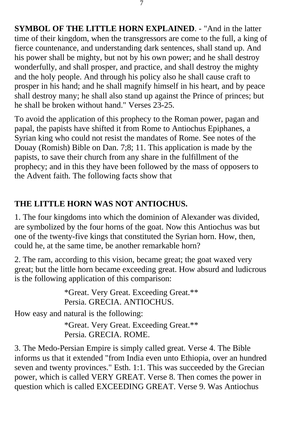**SYMBOL OF THE LITTLE HORN EXPLAINED**. - "And in the latter time of their kingdom, when the transgressors are come to the full, a king of fierce countenance, and understanding dark sentences, shall stand up. And his power shall be mighty, but not by his own power; and he shall destroy wonderfully, and shall prosper, and practice, and shall destroy the mighty and the holy people. And through his policy also he shall cause craft to prosper in his hand; and he shall magnify himself in his heart, and by peace shall destroy many; he shall also stand up against the Prince of princes; but he shall be broken without hand." Verses 23-25.

To avoid the application of this prophecy to the Roman power, pagan and papal, the papists have shifted it from Rome to Antiochus Epiphanes, a Syrian king who could not resist the mandates of Rome. See notes of the Douay (Romish) Bible on Dan. 7;8; 11. This application is made by the papists, to save their church from any share in the fulfillment of the prophecy; and in this they have been followed by the mass of opposers to the Advent faith. The following facts show that

# **THE LITTLE HORN WAS NOT ANTIOCHUS.**

1. The four kingdoms into which the dominion of Alexander was divided, are symbolized by the four horns of the goat. Now this Antiochus was but one of the twenty-five kings that constituted the Syrian horn. How, then, could he, at the same time, be another remarkable horn?

2. The ram, according to this vision, became great; the goat waxed very great; but the little horn became exceeding great. How absurd and ludicrous is the following application of this comparison:

> \*Great. Very Great. Exceeding Great.\*\* Persia. GRECIA. ANTIOCHUS.

How easy and natural is the following:

\*Great. Very Great. Exceeding Great.\*\* Persia. GRECIA. ROME.

3. The Medo-Persian Empire is simply called great. Verse 4. The Bible informs us that it extended "from India even unto Ethiopia, over an hundred seven and twenty provinces." Esth. 1:1. This was succeeded by the Grecian power, which is called VERY GREAT. Verse 8. Then comes the power in question which is called EXCEEDING GREAT. Verse 9. Was Antiochus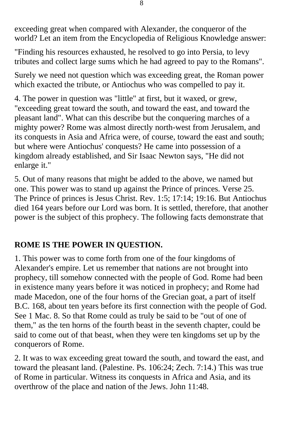exceeding great when compared with Alexander, the conqueror of the world? Let an item from the Encyclopedia of Religious Knowledge answer:

"Finding his resources exhausted, he resolved to go into Persia, to levy tributes and collect large sums which he had agreed to pay to the Romans".

Surely we need not question which was exceeding great, the Roman power which exacted the tribute, or Antiochus who was compelled to pay it.

4. The power in question was "little" at first, but it waxed, or grew, "exceeding great toward the south, and toward the east, and toward the pleasant land". What can this describe but the conquering marches of a mighty power? Rome was almost directly north-west from Jerusalem, and its conquests in Asia and Africa were, of course, toward the east and south; but where were Antiochus' conquests? He came into possession of a kingdom already established, and Sir Isaac Newton says, "He did not enlarge it."

5. Out of many reasons that might be added to the above, we named but one. This power was to stand up against the Prince of princes. Verse 25. The Prince of princes is Jesus Christ. Rev. 1:5; 17:14; 19:16. But Antiochus died 164 years before our Lord was born. It is settled, therefore, that another power is the subject of this prophecy. The following facts demonstrate that

# **ROME IS THE POWER IN QUESTION.**

1. This power was to come forth from one of the four kingdoms of Alexander's empire. Let us remember that nations are not brought into prophecy, till somehow connected with the people of God. Rome had been in existence many years before it was noticed in prophecy; and Rome had made Macedon, one of the four horns of the Grecian goat, a part of itself B.C. 168, about ten years before its first connection with the people of God. See 1 Mac. 8. So that Rome could as truly be said to be "out of one of them," as the ten horns of the fourth beast in the seventh chapter, could be said to come out of that beast, when they were ten kingdoms set up by the conquerors of Rome.

2. It was to wax exceeding great toward the south, and toward the east, and toward the pleasant land. (Palestine. Ps. 106:24; Zech. 7:14.) This was true of Rome in particular. Witness its conquests in Africa and Asia, and its overthrow of the place and nation of the Jews. John 11:48.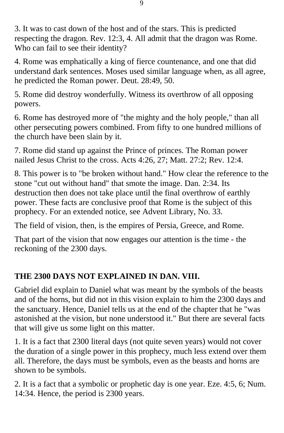3. It was to cast down of the host and of the stars. This is predicted respecting the dragon. Rev. 12:3, 4. All admit that the dragon was Rome. Who can fail to see their identity?

4. Rome was emphatically a king of fierce countenance, and one that did understand dark sentences. Moses used similar language when, as all agree, he predicted the Roman power. Deut. 28:49, 50.

5. Rome did destroy wonderfully. Witness its overthrow of all opposing powers.

6. Rome has destroyed more of "the mighty and the holy people," than all other persecuting powers combined. From fifty to one hundred millions of the church have been slain by it.

7. Rome did stand up against the Prince of princes. The Roman power nailed Jesus Christ to the cross. Acts 4:26, 27; Matt. 27:2; Rev. 12:4.

8. This power is to "be broken without hand." How clear the reference to the stone "cut out without hand" that smote the image. Dan. 2:34. Its destruction then does not take place until the final overthrow of earthly power. These facts are conclusive proof that Rome is the subject of this prophecy. For an extended notice, see Advent Library, No. 33.

The field of vision, then, is the empires of Persia, Greece, and Rome.

That part of the vision that now engages our attention is the time - the reckoning of the 2300 days.

# **THE 2300 DAYS NOT EXPLAINED IN DAN. VIII.**

Gabriel did explain to Daniel what was meant by the symbols of the beasts and of the horns, but did not in this vision explain to him the 2300 days and the sanctuary. Hence, Daniel tells us at the end of the chapter that he "was astonished at the vision, but none understood it." But there are several facts that will give us some light on this matter.

1. It is a fact that 2300 literal days (not quite seven years) would not cover the duration of a single power in this prophecy, much less extend over them all. Therefore, the days must be symbols, even as the beasts and horns are shown to be symbols.

2. It is a fact that a symbolic or prophetic day is one year. Eze. 4:5, 6; Num. 14:34. Hence, the period is 2300 years.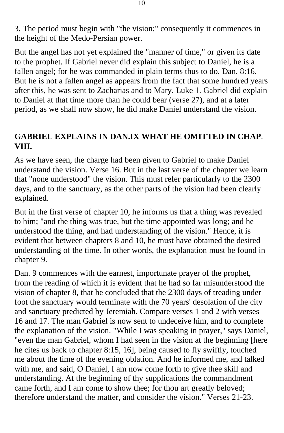3. The period must begin with "the vision;" consequently it commences in the height of the Medo-Persian power.

But the angel has not yet explained the "manner of time," or given its date to the prophet. If Gabriel never did explain this subject to Daniel, he is a fallen angel; for he was commanded in plain terms thus to do. Dan. 8:16. But he is not a fallen angel as appears from the fact that some hundred years after this, he was sent to Zacharias and to Mary. Luke 1. Gabriel did explain to Daniel at that time more than he could bear (verse 27), and at a later period, as we shall now show, he did make Daniel understand the vision.

## **GABRIEL EXPLAINS IN DAN.IX WHAT HE OMITTED IN CHAP**. **VIII.**

As we have seen, the charge had been given to Gabriel to make Daniel understand the vision. Verse 16. But in the last verse of the chapter we learn that "none understood" the vision. This must refer particularly to the 2300 days, and to the sanctuary, as the other parts of the vision had been clearly explained.

But in the first verse of chapter 10, he informs us that a thing was revealed to him; "and the thing was true, but the time appointed was long; and he understood the thing, and had understanding of the vision." Hence, it is evident that between chapters 8 and 10, he must have obtained the desired understanding of the time. In other words, the explanation must be found in chapter 9.

Dan. 9 commences with the earnest, importunate prayer of the prophet, from the reading of which it is evident that he had so far misunderstood the vision of chapter 8, that he concluded that the 2300 days of treading under foot the sanctuary would terminate with the 70 years' desolation of the city and sanctuary predicted by Jeremiah. Compare verses 1 and 2 with verses 16 and 17. The man Gabriel is now sent to undeceive him, and to complete the explanation of the vision. "While I was speaking in prayer," says Daniel, "even the man Gabriel, whom I had seen in the vision at the beginning [here he cites us back to chapter 8:15, 16], being caused to fly swiftly, touched me about the time of the evening oblation. And he informed me, and talked with me, and said, O Daniel, I am now come forth to give thee skill and understanding. At the beginning of thy supplications the commandment came forth, and I am come to show thee; for thou art greatly beloved; therefore understand the matter, and consider the vision." Verses 21-23.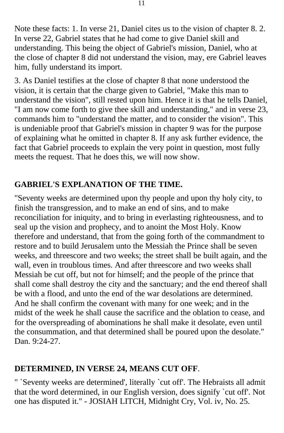Note these facts: 1. In verse 21, Daniel cites us to the vision of chapter 8. 2. In verse 22, Gabriel states that he had come to give Daniel skill and understanding. This being the object of Gabriel's mission, Daniel, who at the close of chapter 8 did not understand the vision, may, ere Gabriel leaves him, fully understand its import.

3. As Daniel testifies at the close of chapter 8 that none understood the vision, it is certain that the charge given to Gabriel, "Make this man to understand the vision", still rested upon him. Hence it is that he tells Daniel, "I am now come forth to give thee skill and understanding," and in verse 23, commands him to "understand the matter, and to consider the vision". This is undeniable proof that Gabriel's mission in chapter 9 was for the purpose of explaining what he omitted in chapter 8. If any ask further evidence, the fact that Gabriel proceeds to explain the very point in question, most fully meets the request. That he does this, we will now show.

## **GABRIEL'S EXPLANATION OF THE TIME.**

"Seventy weeks are determined upon thy people and upon thy holy city, to finish the transgression, and to make an end of sins, and to make reconciliation for iniquity, and to bring in everlasting righteousness, and to seal up the vision and prophecy, and to anoint the Most Holy. Know therefore and understand, that from the going forth of the commandment to restore and to build Jerusalem unto the Messiah the Prince shall be seven weeks, and threescore and two weeks; the street shall be built again, and the wall, even in troublous times. And after threescore and two weeks shall Messiah be cut off, but not for himself; and the people of the prince that shall come shall destroy the city and the sanctuary; and the end thereof shall be with a flood, and unto the end of the war desolations are determined. And he shall confirm the covenant with many for one week; and in the midst of the week he shall cause the sacrifice and the oblation to cease, and for the overspreading of abominations he shall make it desolate, even until the consummation, and that determined shall be poured upon the desolate." Dan. 9:24-27.

### **DETERMINED, IN VERSE 24, MEANS CUT OFF**.

" `Seventy weeks are determined', literally `cut off'. The Hebraists all admit that the word determined, in our English version, does signify `cut off'. Not one has disputed it." - JOSIAH LITCH, Midnight Cry, Vol. iv, No. 25.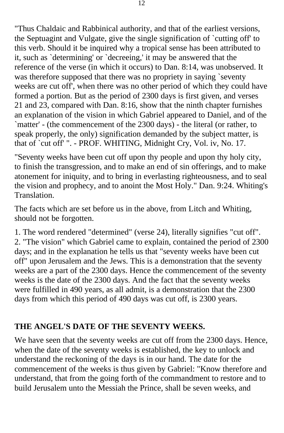"Thus Chaldaic and Rabbinical authority, and that of the earliest versions, the Septuagint and Vulgate, give the single signification of `cutting off' to this verb. Should it be inquired why a tropical sense has been attributed to it, such as `determining' or `decreeing,' it may be answered that the reference of the verse (in which it occurs) to Dan. 8:14, was unobserved. It was therefore supposed that there was no propriety in saying `seventy weeks are cut off', when there was no other period of which they could have formed a portion. But as the period of 2300 days is first given, and verses 21 and 23, compared with Dan. 8:16, show that the ninth chapter furnishes an explanation of the vision in which Gabriel appeared to Daniel, and of the `matter' - (the commencement of the 2300 days) - the literal (or rather, to speak properly, the only) signification demanded by the subject matter, is that of `cut off' ". - PROF. WHITING, Midnight Cry, Vol. iv, No. 17.

"Seventy weeks have been cut off upon thy people and upon thy holy city, to finish the transgression, and to make an end of sin offerings, and to make atonement for iniquity, and to bring in everlasting righteousness, and to seal the vision and prophecy, and to anoint the Most Holy." Dan. 9:24. Whiting's Translation.

The facts which are set before us in the above, from Litch and Whiting, should not be forgotten.

1. The word rendered "determined" (verse 24), literally signifies "cut off". 2. "The vision" which Gabriel came to explain, contained the period of 2300 days; and in the explanation he tells us that "seventy weeks have been cut off" upon Jerusalem and the Jews. This is a demonstration that the seventy weeks are a part of the 2300 days. Hence the commencement of the seventy weeks is the date of the 2300 days. And the fact that the seventy weeks were fulfilled in 490 years, as all admit, is a demonstration that the 2300 days from which this period of 490 days was cut off, is 2300 years.

### **THE ANGEL'S DATE OF THE SEVENTY WEEKS.**

We have seen that the seventy weeks are cut off from the 2300 days. Hence, when the date of the seventy weeks is established, the key to unlock and understand the reckoning of the days is in our hand. The date for the commencement of the weeks is thus given by Gabriel: "Know therefore and understand, that from the going forth of the commandment to restore and to build Jerusalem unto the Messiah the Prince, shall be seven weeks, and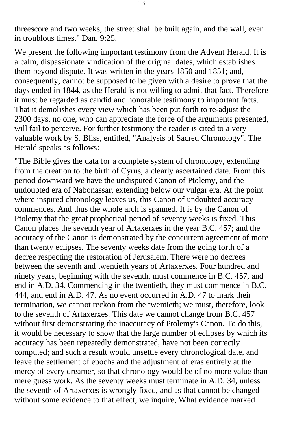threescore and two weeks; the street shall be built again, and the wall, even in troublous times." Dan. 9:25.

We present the following important testimony from the Advent Herald. It is a calm, dispassionate vindication of the original dates, which establishes them beyond dispute. It was written in the years 1850 and 1851; and, consequently, cannot be supposed to be given with a desire to prove that the days ended in 1844, as the Herald is not willing to admit that fact. Therefore it must be regarded as candid and honorable testimony to important facts. That it demolishes every view which has been put forth to re-adjust the 2300 days, no one, who can appreciate the force of the arguments presented, will fail to perceive. For further testimony the reader is cited to a very valuable work by S. Bliss, entitled, "Analysis of Sacred Chronology". The Herald speaks as follows:

"The Bible gives the data for a complete system of chronology, extending from the creation to the birth of Cyrus, a clearly ascertained date. From this period downward we have the undisputed Canon of Ptolemy, and the undoubted era of Nabonassar, extending below our vulgar era. At the point where inspired chronology leaves us, this Canon of undoubted accuracy commences. And thus the whole arch is spanned. It is by the Canon of Ptolemy that the great prophetical period of seventy weeks is fixed. This Canon places the seventh year of Artaxerxes in the year B.C. 457; and the accuracy of the Canon is demonstrated by the concurrent agreement of more than twenty eclipses. The seventy weeks date from the going forth of a decree respecting the restoration of Jerusalem. There were no decrees between the seventh and twentieth years of Artaxerxes. Four hundred and ninety years, beginning with the seventh, must commence in B.C. 457, and end in A.D. 34. Commencing in the twentieth, they must commence in B.C. 444, and end in A.D. 47. As no event occurred in A.D. 47 to mark their termination, we cannot reckon from the twentieth; we must, therefore, look to the seventh of Artaxerxes. This date we cannot change from B.C. 457 without first demonstrating the inaccuracy of Ptolemy's Canon. To do this, it would be necessary to show that the large number of eclipses by which its accuracy has been repeatedly demonstrated, have not been correctly computed; and such a result would unsettle every chronological date, and leave the settlement of epochs and the adjustment of eras entirely at the mercy of every dreamer, so that chronology would be of no more value than mere guess work. As the seventy weeks must terminate in A.D. 34, unless the seventh of Artaxerxes is wrongly fixed, and as that cannot be changed without some evidence to that effect, we inquire, What evidence marked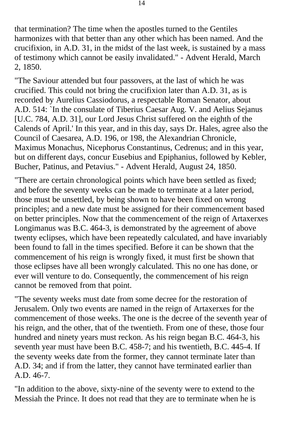that termination? The time when the apostles turned to the Gentiles harmonizes with that better than any other which has been named. And the crucifixion, in A.D. 31, in the midst of the last week, is sustained by a mass of testimony which cannot be easily invalidated." - Advent Herald, March 2, 1850.

"The Saviour attended but four passovers, at the last of which he was crucified. This could not bring the crucifixion later than A.D. 31, as is recorded by Aurelius Cassiodorus, a respectable Roman Senator, about A.D. 514: `In the consulate of Tiberius Caesar Aug. V. and Aelius Sejanus [U.C. 784, A.D. 31], our Lord Jesus Christ suffered on the eighth of the Calends of April.' In this year, and in this day, says Dr. Hales, agree also the Council of Caesarea, A.D. 196, or 198, the Alexandrian Chronicle, Maximus Monachus, Nicephorus Constantinus, Cedrenus; and in this year, but on different days, concur Eusebius and Epiphanius, followed by Kebler, Bucher, Patinus, and Petavius." - Advent Herald, August 24, 1850.

"There are certain chronological points which have been settled as fixed; and before the seventy weeks can be made to terminate at a later period, those must be unsettled, by being shown to have been fixed on wrong principles; and a new date must be assigned for their commencement based on better principles. Now that the commencement of the reign of Artaxerxes Longimanus was B.C. 464-3, is demonstrated by the agreement of above twenty eclipses, which have been repeatedly calculated, and have invariably been found to fall in the times specified. Before it can be shown that the commencement of his reign is wrongly fixed, it must first be shown that those eclipses have all been wrongly calculated. This no one has done, or ever will venture to do. Consequently, the commencement of his reign cannot be removed from that point.

"The seventy weeks must date from some decree for the restoration of Jerusalem. Only two events are named in the reign of Artaxerxes for the commencement of those weeks. The one is the decree of the seventh year of his reign, and the other, that of the twentieth. From one of these, those four hundred and ninety years must reckon. As his reign began B.C. 464-3, his seventh year must have been B.C. 458-7; and his twentieth, B.C. 445-4. If the seventy weeks date from the former, they cannot terminate later than A.D. 34; and if from the latter, they cannot have terminated earlier than A.D. 46-7.

"In addition to the above, sixty-nine of the seventy were to extend to the Messiah the Prince. It does not read that they are to terminate when he is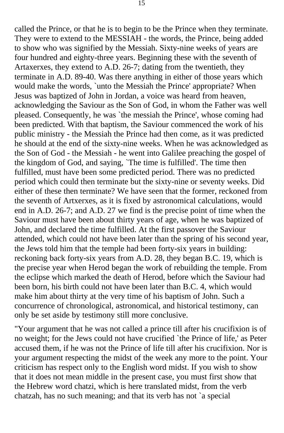called the Prince, or that he is to begin to be the Prince when they terminate. They were to extend to the MESSIAH - the words, the Prince, being added to show who was signified by the Messiah. Sixty-nine weeks of years are four hundred and eighty-three years. Beginning these with the seventh of Artaxerxes, they extend to A.D. 26-7; dating from the twentieth, they terminate in A.D. 89-40. Was there anything in either of those years which would make the words, `unto the Messiah the Prince' appropriate? When Jesus was baptized of John in Jordan, a voice was heard from heaven, acknowledging the Saviour as the Son of God, in whom the Father was well pleased. Consequently, he was `the messiah the Prince', whose coming had been predicted. With that baptism, the Saviour commenced the work of his public ministry - the Messiah the Prince had then come, as it was predicted he should at the end of the sixty-nine weeks. When he was acknowledged as the Son of God - the Messiah - he went into Galilee preaching the gospel of the kingdom of God, and saying, `The time is fulfilled'. The time then fulfilled, must have been some predicted period. There was no predicted period which could then terminate but the sixty-nine or seventy weeks. Did either of these then terminate? We have seen that the former, reckoned from the seventh of Artxerxes, as it is fixed by astronomical calculations, would end in A.D. 26-7; and A.D. 27 we find is the precise point of time when the Saviour must have been about thirty years of age, when he was baptized of John, and declared the time fulfilled. At the first passover the Saviour attended, which could not have been later than the spring of his second year, the Jews told him that the temple had been forty-six years in building: reckoning back forty-six years from A.D. 28, they began B.C. 19, which is the precise year when Herod began the work of rebuilding the temple. From the eclipse which marked the death of Herod, before which the Saviour had been born, his birth could not have been later than B.C. 4, which would make him about thirty at the very time of his baptism of John. Such a concurrence of chronological, astronomical, and historical testimony, can only be set aside by testimony still more conclusive.

"Your argument that he was not called a prince till after his crucifixion is of no weight; for the Jews could not have crucified `the Prince of life,' as Peter accused them, if he was not the Prince of life till after his crucifixion. Nor is your argument respecting the midst of the week any more to the point. Your criticism has respect only to the English word midst. If you wish to show that it does not mean middle in the present case, you must first show that the Hebrew word chatzi, which is here translated midst, from the verb chatzah, has no such meaning; and that its verb has not `a special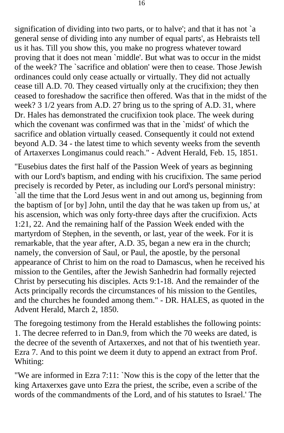signification of dividing into two parts, or to halve'; and that it has not `a general sense of dividing into any number of equal parts', as Hebraists tell us it has. Till you show this, you make no progress whatever toward proving that it does not mean `middle'. But what was to occur in the midst of the week? The `sacrifice and oblation' were then to cease. Those Jewish ordinances could only cease actually or virtually. They did not actually cease till A.D. 70. They ceased virtually only at the crucifixion; they then ceased to foreshadow the sacrifice then offered. Was that in the midst of the week? 3 1/2 years from A.D. 27 bring us to the spring of A.D. 31, where Dr. Hales has demonstrated the crucifixion took place. The week during which the covenant was confirmed was that in the `midst' of which the sacrifice and oblation virtually ceased. Consequently it could not extend beyond A.D. 34 - the latest time to which seventy weeks from the seventh of Artaxerxes Longimanus could reach." - Advent Herald, Feb. 15, 1851.

"Eusebius dates the first half of the Passion Week of years as beginning with our Lord's baptism, and ending with his crucifixion. The same period precisely is recorded by Peter, as including our Lord's personal ministry: `all the time that the Lord Jesus went in and out among us, beginning from the baptism of [or by] John, until the day that he was taken up from us,' at his ascension, which was only forty-three days after the crucifixion. Acts 1:21, 22. And the remaining half of the Passion Week ended with the martyrdom of Stephen, in the seventh, or last, year of the week. For it is remarkable, that the year after, A.D. 35, began a new era in the church; namely, the conversion of Saul, or Paul, the apostle, by the personal appearance of Christ to him on the road to Damascus, when he received his mission to the Gentiles, after the Jewish Sanhedrin had formally rejected Christ by persecuting his disciples. Acts 9:1-18. And the remainder of the Acts principally records the circumstances of his mission to the Gentiles, and the churches he founded among them." - DR. HALES, as quoted in the Advent Herald, March 2, 1850.

The foregoing testimony from the Herald establishes the following points: 1. The decree referred to in Dan.9, from which the 70 weeks are dated, is the decree of the seventh of Artaxerxes, and not that of his twentieth year. Ezra 7. And to this point we deem it duty to append an extract from Prof. Whiting:

"We are informed in Ezra 7:11: `Now this is the copy of the letter that the king Artaxerxes gave unto Ezra the priest, the scribe, even a scribe of the words of the commandments of the Lord, and of his statutes to Israel.' The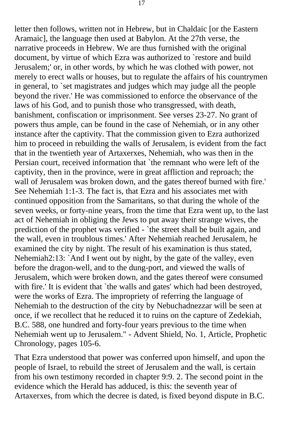letter then follows, written not in Hebrew, but in Chaldaic [or the Eastern Aramaic], the language then used at Babylon. At the 27th verse, the narrative proceeds in Hebrew. We are thus furnished with the original document, by virtue of which Ezra was authorized to `restore and build Jerusalem;' or, in other words, by which he was clothed with power, not merely to erect walls or houses, but to regulate the affairs of his countrymen in general, to `set magistrates and judges which may judge all the people beyond the river.' He was commissioned to enforce the observance of the laws of his God, and to punish those who transgressed, with death, banishment, confiscation or imprisonment. See verses 23-27. No grant of powers thus ample, can be found in the case of Nehemiah, or in any other instance after the captivity. That the commission given to Ezra authorized him to proceed in rebuilding the walls of Jerusalem, is evident from the fact that in the twentieth year of Artaxerxes, Nehemiah, who was then in the Persian court, received information that `the remnant who were left of the captivity, then in the province, were in great affliction and reproach; the wall of Jerusalem was broken down, and the gates thereof burned with fire.' See Nehemiah 1:1-3. The fact is, that Ezra and his associates met with continued opposition from the Samaritans, so that during the whole of the seven weeks, or forty-nine years, from the time that Ezra went up, to the last act of Nehemiah in obliging the Jews to put away their strange wives, the prediction of the prophet was verified - `the street shall be built again, and the wall, even in troublous times.' After Nehemiah reached Jerusalem, he examined the city by night. The result of his examination is thus stated, Nehemiah2:13: `And I went out by night, by the gate of the valley, even before the dragon-well, and to the dung-port, and viewed the walls of Jerusalem, which were broken down, and the gates thereof were consumed with fire.' It is evident that `the walls and gates' which had been destroyed, were the works of Ezra. The impropriety of referring the language of Nehemiah to the destruction of the city by Nebuchadnezzar will be seen at once, if we recollect that he reduced it to ruins on the capture of Zedekiah, B.C. 588, one hundred and forty-four years previous to the time when Nehemiah went up to Jerusalem." - Advent Shield, No. 1, Article, Prophetic Chronology, pages 105-6.

That Ezra understood that power was conferred upon himself, and upon the people of Israel, to rebuild the street of Jerusalem and the wall, is certain from his own testimony recorded in chapter 9:9. 2. The second point in the evidence which the Herald has adduced, is this: the seventh year of Artaxerxes, from which the decree is dated, is fixed beyond dispute in B.C.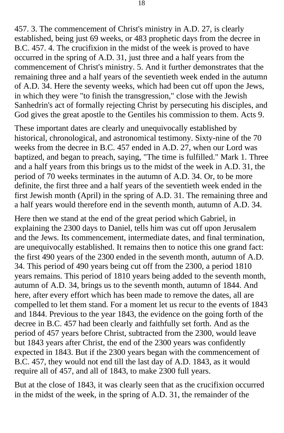457. 3. The commencement of Christ's ministry in A.D. 27, is clearly established, being just 69 weeks, or 483 prophetic days from the decree in B.C. 457. 4. The crucifixion in the midst of the week is proved to have occurred in the spring of A.D. 31, just three and a half years from the commencement of Christ's ministry. 5. And it further demonstrates that the remaining three and a half years of the seventieth week ended in the autumn of A.D. 34. Here the seventy weeks, which had been cut off upon the Jews, in which they were "to finish the transgression," close with the Jewish Sanhedrin's act of formally rejecting Christ by persecuting his disciples, and God gives the great apostle to the Gentiles his commission to them. Acts 9.

These important dates are clearly and unequivocally established by historical, chronological, and astronomical testimony. Sixty-nine of the 70 weeks from the decree in B.C. 457 ended in A.D. 27, when our Lord was baptized, and began to preach, saying, "The time is fulfilled." Mark 1. Three and a half years from this brings us to the midst of the week in A.D. 31, the period of 70 weeks terminates in the autumn of A.D. 34. Or, to be more definite, the first three and a half years of the seventieth week ended in the first Jewish month (April) in the spring of A.D. 31. The remaining three and a half years would therefore end in the seventh month, autumn of A.D. 34.

Here then we stand at the end of the great period which Gabriel, in explaining the 2300 days to Daniel, tells him was cut off upon Jerusalem and the Jews. Its commencement, intermediate dates, and final termination, are unequivocally established. It remains then to notice this one grand fact: the first 490 years of the 2300 ended in the seventh month, autumn of A.D. 34. This period of 490 years being cut off from the 2300, a period 1810 years remains. This period of 1810 years being added to the seventh month, autumn of A.D. 34, brings us to the seventh month, autumn of 1844. And here, after every effort which has been made to remove the dates, all are compelled to let them stand. For a moment let us recur to the events of 1843 and 1844. Previous to the year 1843, the evidence on the going forth of the decree in B.C. 457 had been clearly and faithfully set forth. And as the period of 457 years before Christ, subtracted from the 2300, would leave but 1843 years after Christ, the end of the 2300 years was confidently expected in 1843. But if the 2300 years began with the commencement of B.C. 457, they would not end till the last day of A.D. 1843, as it would require all of 457, and all of 1843, to make 2300 full years.

But at the close of 1843, it was clearly seen that as the crucifixion occurred in the midst of the week, in the spring of A.D. 31, the remainder of the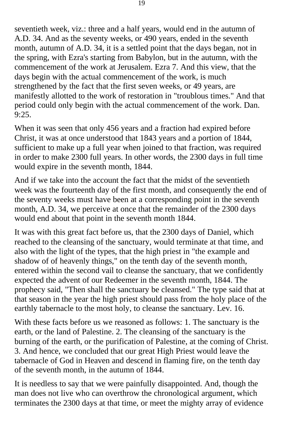seventieth week, viz.: three and a half years, would end in the autumn of A.D. 34. And as the seventy weeks, or 490 years, ended in the seventh month, autumn of A.D. 34, it is a settled point that the days began, not in the spring, with Ezra's starting from Babylon, but in the autumn, with the commencement of the work at Jerusalem. Ezra 7. And this view, that the days begin with the actual commencement of the work, is much strengthened by the fact that the first seven weeks, or 49 years, are manifestly allotted to the work of restoration in "troublous times." And that period could only begin with the actual commencement of the work. Dan. 9:25.

When it was seen that only 456 years and a fraction had expired before Christ, it was at once understood that 1843 years and a portion of 1844, sufficient to make up a full year when joined to that fraction, was required in order to make 2300 full years. In other words, the 2300 days in full time would expire in the seventh month, 1844.

And if we take into the account the fact that the midst of the seventieth week was the fourteenth day of the first month, and consequently the end of the seventy weeks must have been at a corresponding point in the seventh month, A.D. 34, we perceive at once that the remainder of the 2300 days would end about that point in the seventh month 1844.

It was with this great fact before us, that the 2300 days of Daniel, which reached to the cleansing of the sanctuary, would terminate at that time, and also with the light of the types, that the high priest in "the example and shadow of of heavenly things," on the tenth day of the seventh month, entered within the second vail to cleanse the sanctuary, that we confidently expected the advent of our Redeemer in the seventh month, 1844. The prophecy said, "Then shall the sanctuary be cleansed." The type said that at that season in the year the high priest should pass from the holy place of the earthly tabernacle to the most holy, to cleanse the sanctuary. Lev. 16.

With these facts before us we reasoned as follows: 1. The sanctuary is the earth, or the land of Palestine. 2. The cleansing of the sanctuary is the burning of the earth, or the purification of Palestine, at the coming of Christ. 3. And hence, we concluded that our great High Priest would leave the tabernacle of God in Heaven and descend in flaming fire, on the tenth day of the seventh month, in the autumn of 1844.

It is needless to say that we were painfully disappointed. And, though the man does not live who can overthrow the chronological argument, which terminates the 2300 days at that time, or meet the mighty array of evidence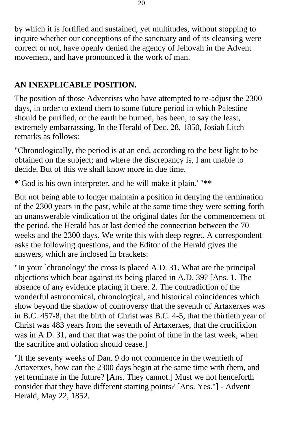by which it is fortified and sustained, yet multitudes, without stopping to inquire whether our conceptions of the sanctuary and of its cleansing were correct or not, have openly denied the agency of Jehovah in the Advent movement, and have pronounced it the work of man.

# **AN INEXPLICABLE POSITION.**

The position of those Adventists who have attempted to re-adjust the 2300 days, in order to extend them to some future period in which Palestine should be purified, or the earth be burned, has been, to say the least, extremely embarrassing. In the Herald of Dec. 28, 1850, Josiah Litch remarks as follows:

"Chronologically, the period is at an end, according to the best light to be obtained on the subject; and where the discrepancy is, I am unable to decide. But of this we shall know more in due time.

\*`God is his own interpreter, and he will make it plain.' "\*\*

But not being able to longer maintain a position in denying the termination of the 2300 years in the past, while at the same time they were setting forth an unanswerable vindication of the original dates for the commencement of the period, the Herald has at last denied the connection between the 70 weeks and the 2300 days. We write this with deep regret. A correspondent asks the following questions, and the Editor of the Herald gives the answers, which are inclosed in brackets:

"In your `chronology' the cross is placed A.D. 31. What are the principal objections which bear against its being placed in A.D. 39? [Ans. 1. The absence of any evidence placing it there. 2. The contradiction of the wonderful astronomical, chronological, and historical coincidences which show beyond the shadow of controversy that the seventh of Artaxerxes was in B.C. 457-8, that the birth of Christ was B.C. 4-5, that the thirtieth year of Christ was 483 years from the seventh of Artaxerxes, that the crucifixion was in A.D. 31, and that that was the point of time in the last week, when the sacrifice and oblation should cease.]

"If the seventy weeks of Dan. 9 do not commence in the twentieth of Artaxerxes, how can the 2300 days begin at the same time with them, and yet terminate in the future? [Ans. They cannot.] Must we not henceforth consider that they have different starting points? [Ans. Yes."] - Advent Herald, May 22, 1852.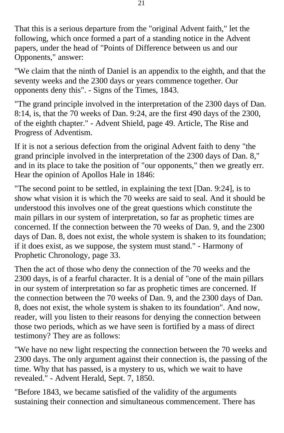That this is a serious departure from the "original Advent faith," let the following, which once formed a part of a standing notice in the Advent papers, under the head of "Points of Difference between us and our Opponents," answer:

"We claim that the ninth of Daniel is an appendix to the eighth, and that the seventy weeks and the 2300 days or years commence together. Our opponents deny this". - Signs of the Times, 1843.

"The grand principle involved in the interpretation of the 2300 days of Dan. 8:14, is, that the 70 weeks of Dan. 9:24, are the first 490 days of the 2300, of the eighth chapter." - Advent Shield, page 49. Article, The Rise and Progress of Adventism.

If it is not a serious defection from the original Advent faith to deny "the grand principle involved in the interpretation of the 2300 days of Dan. 8," and in its place to take the position of "our opponents," then we greatly err. Hear the opinion of Apollos Hale in 1846:

"The second point to be settled, in explaining the text [Dan. 9:24], is to show what vision it is which the 70 weeks are said to seal. And it should be understood this involves one of the great questions which constitute the main pillars in our system of interpretation, so far as prophetic times are concerned. If the connection between the 70 weeks of Dan. 9, and the 2300 days of Dan. 8, does not exist, the whole system is shaken to its foundation; if it does exist, as we suppose, the system must stand." - Harmony of Prophetic Chronology, page 33.

Then the act of those who deny the connection of the 70 weeks and the 2300 days, is of a fearful character. It is a denial of "one of the main pillars in our system of interpretation so far as prophetic times are concerned. If the connection between the 70 weeks of Dan. 9, and the 2300 days of Dan. 8, does not exist, the whole system is shaken to its foundation". And now, reader, will you listen to their reasons for denying the connection between those two periods, which as we have seen is fortified by a mass of direct testimony? They are as follows:

"We have no new light respecting the connection between the 70 weeks and 2300 days. The only argument against their connection is, the passing of the time. Why that has passed, is a mystery to us, which we wait to have revealed." - Advent Herald, Sept. 7, 1850.

"Before 1843, we became satisfied of the validity of the arguments sustaining their connection and simultaneous commencement. There has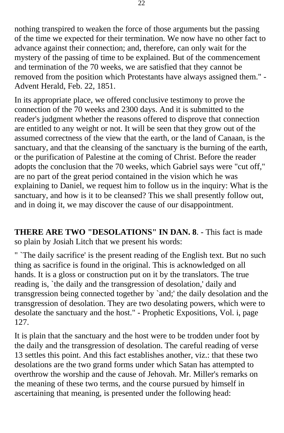nothing transpired to weaken the force of those arguments but the passing of the time we expected for their termination. We now have no other fact to advance against their connection; and, therefore, can only wait for the mystery of the passing of time to be explained. But of the commencement and termination of the 70 weeks, we are satisfied that they cannot be removed from the position which Protestants have always assigned them." - Advent Herald, Feb. 22, 1851.

In its appropriate place, we offered conclusive testimony to prove the connection of the 70 weeks and 2300 days. And it is submitted to the reader's judgment whether the reasons offered to disprove that connection are entitled to any weight or not. It will be seen that they grow out of the assumed correctness of the view that the earth, or the land of Canaan, is the sanctuary, and that the cleansing of the sanctuary is the burning of the earth, or the purification of Palestine at the coming of Christ. Before the reader adopts the conclusion that the 70 weeks, which Gabriel says were "cut off," are no part of the great period contained in the vision which he was explaining to Daniel, we request him to follow us in the inquiry: What is the sanctuary, and how is it to be cleansed? This we shall presently follow out, and in doing it, we may discover the cause of our disappointment.

**THERE ARE TWO "DESOLATIONS" IN DAN. 8**. - This fact is made so plain by Josiah Litch that we present his words:

" `The daily sacrifice' is the present reading of the English text. But no such thing as sacrifice is found in the original. This is acknowledged on all hands. It is a gloss or construction put on it by the translators. The true reading is, `the daily and the transgression of desolation,' daily and transgression being connected together by `and;' the daily desolation and the transgression of desolation. They are two desolating powers, which were to desolate the sanctuary and the host." - Prophetic Expositions, Vol. i, page 127.

It is plain that the sanctuary and the host were to be trodden under foot by the daily and the transgression of desolation. The careful reading of verse 13 settles this point. And this fact establishes another, viz.: that these two desolations are the two grand forms under which Satan has attempted to overthrow the worship and the cause of Jehovah. Mr. Miller's remarks on the meaning of these two terms, and the course pursued by himself in ascertaining that meaning, is presented under the following head: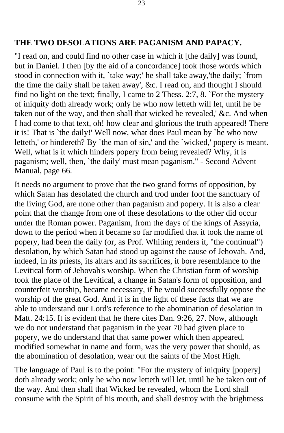#### **THE TWO DESOLATIONS ARE PAGANISM AND PAPACY.**

"I read on, and could find no other case in which it [the daily] was found, but in Daniel. I then [by the aid of a concordance] took those words which stood in connection with it, `take way;' he shall take away,'the daily; `from the time the daily shall be taken away', &c. I read on, and thought I should find no light on the text; finally, I came to 2 Thess. 2:7, 8. `For the mystery of iniquity doth already work; only he who now letteth will let, until he be taken out of the way, and then shall that wicked be revealed,' &c. And when I had come to that text, oh! how clear and glorious the truth appeared! There it is! That is `the daily!' Well now, what does Paul mean by `he who now letteth,' or hindereth? By `the man of sin,' and the `wicked,' popery is meant. Well, what is it which hinders popery from being revealed? Why, it is paganism; well, then, `the daily' must mean paganism." - Second Advent Manual, page 66.

It needs no argument to prove that the two grand forms of opposition, by which Satan has desolated the church and trod under foot the sanctuary of the living God, are none other than paganism and popery. It is also a clear point that the change from one of these desolations to the other did occur under the Roman power. Paganism, from the days of the kings of Assyria, down to the period when it became so far modified that it took the name of popery, had been the daily (or, as Prof. Whiting renders it, "the continual") desolation, by which Satan had stood up against the cause of Jehovah. And, indeed, in its priests, its altars and its sacrifices, it bore resemblance to the Levitical form of Jehovah's worship. When the Christian form of worship took the place of the Levitical, a change in Satan's form of opposition, and counterfeit worship, became necessary, if he would successfully oppose the worship of the great God. And it is in the light of these facts that we are able to understand our Lord's reference to the abomination of desolation in Matt. 24:15. It is evident that he there cites Dan. 9:26, 27. Now, although we do not understand that paganism in the year 70 had given place to popery, we do understand that that same power which then appeared, modified somewhat in name and form, was the very power that should, as the abomination of desolation, wear out the saints of the Most High.

The language of Paul is to the point: "For the mystery of iniquity [popery] doth already work; only he who now letteth will let, until he be taken out of the way. And then shall that Wicked be revealed, whom the Lord shall consume with the Spirit of his mouth, and shall destroy with the brightness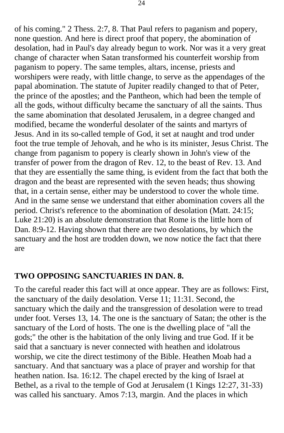of his coming." 2 Thess. 2:7, 8. That Paul refers to paganism and popery, none question. And here is direct proof that popery, the abomination of desolation, had in Paul's day already begun to work. Nor was it a very great change of character when Satan transformed his counterfeit worship from paganism to popery. The same temples, altars, incense, priests and worshipers were ready, with little change, to serve as the appendages of the papal abomination. The statute of Jupiter readily changed to that of Peter, the prince of the apostles; and the Pantheon, which had been the temple of all the gods, without difficulty became the sanctuary of all the saints. Thus the same abomination that desolated Jerusalem, in a degree changed and modified, became the wonderful desolater of the saints and martyrs of Jesus. And in its so-called temple of God, it set at naught and trod under foot the true temple of Jehovah, and he who is its minister, Jesus Christ. The change from paganism to popery is clearly shown in John's view of the transfer of power from the dragon of Rev. 12, to the beast of Rev. 13. And that they are essentially the same thing, is evident from the fact that both the dragon and the beast are represented with the seven heads; thus showing that, in a certain sense, either may be understood to cover the whole time. And in the same sense we understand that either abomination covers all the period. Christ's reference to the abomination of desolation (Matt. 24:15; Luke 21:20) is an absolute demonstration that Rome is the little horn of Dan. 8:9-12. Having shown that there are two desolations, by which the sanctuary and the host are trodden down, we now notice the fact that there are

#### **TWO OPPOSING SANCTUARIES IN DAN. 8.**

To the careful reader this fact will at once appear. They are as follows: First, the sanctuary of the daily desolation. Verse 11; 11:31. Second, the sanctuary which the daily and the transgression of desolation were to tread under foot. Verses 13, 14. The one is the sanctuary of Satan; the other is the sanctuary of the Lord of hosts. The one is the dwelling place of "all the gods;" the other is the habitation of the only living and true God. If it be said that a sanctuary is never connected with heathen and idolatrous worship, we cite the direct testimony of the Bible. Heathen Moab had a sanctuary. And that sanctuary was a place of prayer and worship for that heathen nation. Isa. 16:12. The chapel erected by the king of Israel at Bethel, as a rival to the temple of God at Jerusalem (1 Kings 12:27, 31-33) was called his sanctuary. Amos 7:13, margin. And the places in which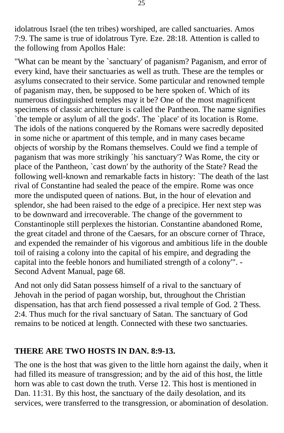idolatrous Israel (the ten tribes) worshiped, are called sanctuaries. Amos 7:9. The same is true of idolatrous Tyre. Eze. 28:18. Attention is called to the following from Apollos Hale:

"What can be meant by the `sanctuary' of paganism? Paganism, and error of every kind, have their sanctuaries as well as truth. These are the temples or asylums consecrated to their service. Some particular and renowned temple of paganism may, then, be supposed to be here spoken of. Which of its numerous distinguished temples may it be? One of the most magnificent specimens of classic architecture is called the Pantheon. The name signifies `the temple or asylum of all the gods'. The `place' of its location is Rome. The idols of the nations conquered by the Romans were sacredly deposited in some niche or apartment of this temple, and in many cases became objects of worship by the Romans themselves. Could we find a temple of paganism that was more strikingly `his sanctuary'? Was Rome, the city or place of the Pantheon, `cast down' by the authority of the State? Read the following well-known and remarkable facts in history: `The death of the last rival of Constantine had sealed the peace of the empire. Rome was once more the undisputed queen of nations. But, in the hour of elevation and splendor, she had been raised to the edge of a precipice. Her next step was to be downward and irrecoverable. The change of the government to Constantinople still perplexes the historian. Constantine abandoned Rome, the great citadel and throne of the Caesars, for an obscure corner of Thrace, and expended the remainder of his vigorous and ambitious life in the double toil of raising a colony into the capital of his empire, and degrading the capital into the feeble honors and humiliated strength of a colony'". - Second Advent Manual, page 68.

And not only did Satan possess himself of a rival to the sanctuary of Jehovah in the period of pagan worship, but, throughout the Christian dispensation, has that arch fiend possessed a rival temple of God. 2 Thess. 2:4. Thus much for the rival sanctuary of Satan. The sanctuary of God remains to be noticed at length. Connected with these two sanctuaries.

### **THERE ARE TWO HOSTS IN DAN. 8:9-13.**

The one is the host that was given to the little horn against the daily, when it had filled its measure of transgression; and by the aid of this host, the little horn was able to cast down the truth. Verse 12. This host is mentioned in Dan. 11:31. By this host, the sanctuary of the daily desolation, and its services, were transferred to the transgression, or abomination of desolation.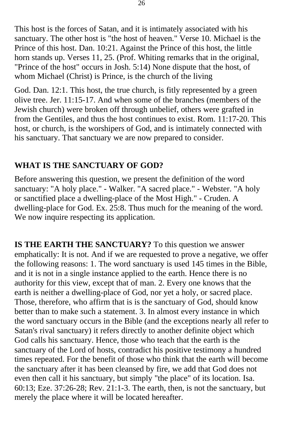This host is the forces of Satan, and it is intimately associated with his sanctuary. The other host is "the host of heaven." Verse 10. Michael is the Prince of this host. Dan. 10:21. Against the Prince of this host, the little horn stands up. Verses 11, 25. (Prof. Whiting remarks that in the original, "Prince of the host" occurs in Josh. 5:14) None dispute that the host, of whom Michael (Christ) is Prince, is the church of the living

God. Dan. 12:1. This host, the true church, is fitly represented by a green olive tree. Jer. 11:15-17. And when some of the branches (members of the Jewish church) were broken off through unbelief, others were grafted in from the Gentiles, and thus the host continues to exist. Rom. 11:17-20. This host, or church, is the worshipers of God, and is intimately connected with his sanctuary. That sanctuary we are now prepared to consider.

## **WHAT IS THE SANCTUARY OF GOD?**

Before answering this question, we present the definition of the word sanctuary: "A holy place." - Walker. "A sacred place." - Webster. "A holy or sanctified place a dwelling-place of the Most High." - Cruden. A dwelling-place for God. Ex. 25:8. Thus much for the meaning of the word. We now inquire respecting its application.

**IS THE EARTH THE SANCTUARY?** To this question we answer emphatically: It is not. And if we are requested to prove a negative, we offer the following reasons: 1. The word sanctuary is used 145 times in the Bible, and it is not in a single instance applied to the earth. Hence there is no authority for this view, except that of man. 2. Every one knows that the earth is neither a dwelling-place of God, nor yet a holy, or sacred place. Those, therefore, who affirm that is is the sanctuary of God, should know better than to make such a statement. 3. In almost every instance in which the word sanctuary occurs in the Bible (and the exceptions nearly all refer to Satan's rival sanctuary) it refers directly to another definite object which God calls his sanctuary. Hence, those who teach that the earth is the sanctuary of the Lord of hosts, contradict his positive testimony a hundred times repeated. For the benefit of those who think that the earth will become the sanctuary after it has been cleansed by fire, we add that God does not even then call it his sanctuary, but simply "the place" of its location. Isa. 60:13; Eze. 37:26-28; Rev. 21:1-3. The earth, then, is not the sanctuary, but merely the place where it will be located hereafter.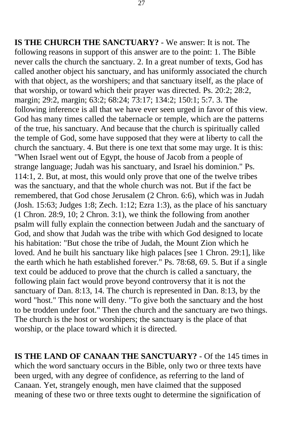**IS THE CHURCH THE SANCTUARY?** - We answer: It is not. The following reasons in support of this answer are to the point: 1. The Bible never calls the church the sanctuary. 2. In a great number of texts, God has called another object his sanctuary, and has uniformly associated the church with that object, as the worshipers; and that sanctuary itself, as the place of that worship, or toward which their prayer was directed. Ps. 20:2; 28:2, margin; 29:2, margin; 63:2; 68:24; 73:17; 134:2; 150:1; 5:7. 3. The following inference is all that we have ever seen urged in favor of this view. God has many times called the tabernacle or temple, which are the patterns of the true, his sanctuary. And because that the church is spiritually called the temple of God, some have supposed that they were at liberty to call the church the sanctuary. 4. But there is one text that some may urge. It is this: "When Israel went out of Egypt, the house of Jacob from a people of strange language; Judah was his sanctuary, and Israel his dominion." Ps. 114:1, 2. But, at most, this would only prove that one of the twelve tribes was the sanctuary, and that the whole church was not. But if the fact be remembered, that God chose Jerusalem (2 Chron. 6:6), which was in Judah (Josh. 15:63; Judges 1:8; Zech. 1:12; Ezra 1:3), as the place of his sanctuary (1 Chron. 28:9, 10; 2 Chron. 3:1), we think the following from another psalm will fully explain the connection between Judah and the sanctuary of God, and show that Judah was the tribe with which God designed to locate his habitation: "But chose the tribe of Judah, the Mount Zion which he loved. And he built his sanctuary like high palaces [see 1 Chron. 29:1], like the earth which he hath established forever." Ps. 78:68, 69. 5. But if a single text could be adduced to prove that the church is called a sanctuary, the following plain fact would prove beyond controversy that it is not the sanctuary of Dan. 8:13, 14. The church is represented in Dan. 8:13, by the word "host." This none will deny. "To give both the sanctuary and the host to be trodden under foot." Then the church and the sanctuary are two things. The church is the host or worshipers; the sanctuary is the place of that worship, or the place toward which it is directed.

**IS THE LAND OF CANAAN THE SANCTUARY?** - Of the 145 times in which the word sanctuary occurs in the Bible, only two or three texts have been urged, with any degree of confidence, as referring to the land of Canaan. Yet, strangely enough, men have claimed that the supposed meaning of these two or three texts ought to determine the signification of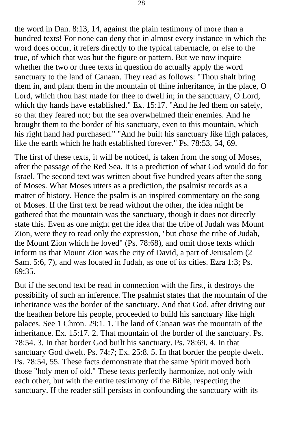the word in Dan. 8:13, 14, against the plain testimony of more than a hundred texts! For none can deny that in almost every instance in which the word does occur, it refers directly to the typical tabernacle, or else to the true, of which that was but the figure or pattern. But we now inquire whether the two or three texts in question do actually apply the word sanctuary to the land of Canaan. They read as follows: "Thou shalt bring them in, and plant them in the mountain of thine inheritance, in the place, O Lord, which thou hast made for thee to dwell in; in the sanctuary, O Lord, which thy hands have established." Ex. 15:17. "And he led them on safely, so that they feared not; but the sea overwhelmed their enemies. And he brought them to the border of his sanctuary, even to this mountain, which his right hand had purchased." "And he built his sanctuary like high palaces, like the earth which he hath established forever." Ps. 78:53, 54, 69.

The first of these texts, it will be noticed, is taken from the song of Moses, after the passage of the Red Sea. It is a prediction of what God would do for Israel. The second text was written about five hundred years after the song of Moses. What Moses utters as a prediction, the psalmist records as a matter of history. Hence the psalm is an inspired commentary on the song of Moses. If the first text be read without the other, the idea might be gathered that the mountain was the sanctuary, though it does not directly state this. Even as one might get the idea that the tribe of Judah was Mount Zion, were they to read only the expression, "but chose the tribe of Judah, the Mount Zion which he loved" (Ps. 78:68), and omit those texts which inform us that Mount Zion was the city of David, a part of Jerusalem (2 Sam. 5:6, 7), and was located in Judah, as one of its cities. Ezra 1:3; Ps. 69:35.

But if the second text be read in connection with the first, it destroys the possibility of such an inference. The psalmist states that the mountain of the inheritance was the border of the sanctuary. And that God, after driving out the heathen before his people, proceeded to build his sanctuary like high palaces. See 1 Chron. 29:1. 1. The land of Canaan was the mountain of the inheritance. Ex. 15:17. 2. That mountain of the border of the sanctuary. Ps. 78:54. 3. In that border God built his sanctuary. Ps. 78:69. 4. In that sanctuary God dwelt. Ps. 74:7; Ex. 25:8. 5. In that border the people dwelt. Ps. 78:54, 55. These facts demonstrate that the same Spirit moved both those "holy men of old." These texts perfectly harmonize, not only with each other, but with the entire testimony of the Bible, respecting the sanctuary. If the reader still persists in confounding the sanctuary with its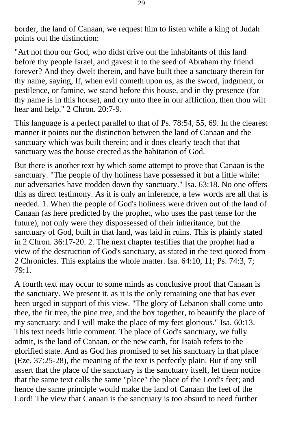border, the land of Canaan, we request him to listen while a king of Judah points out the distinction:

"Art not thou our God, who didst drive out the inhabitants of this land before thy people Israel, and gavest it to the seed of Abraham thy friend forever? And they dwelt therein, and have built thee a sanctuary therein for thy name, saying, If, when evil cometh upon us, as the sword, judgment, or pestilence, or famine, we stand before this house, and in thy presence (for thy name is in this house), and cry unto thee in our affliction, then thou wilt hear and help." 2 Chron. 20:7-9.

This language is a perfect parallel to that of Ps. 78:54, 55, 69. In the clearest manner it points out the distinction between the land of Canaan and the sanctuary which was built therein; and it does clearly teach that that sanctuary was the house erected as the habitation of God.

But there is another text by which some attempt to prove that Canaan is the sanctuary. "The people of thy holiness have possessed it but a little while: our adversaries have trodden down thy sanctuary." Isa. 63:18. No one offers this as direct testimony. As it is only an inference, a few words are all that is needed. 1. When the people of God's holiness were driven out of the land of Canaan (as here predicted by the prophet, who uses the past tense for the future), not only were they dispossessed of their inheritance, but the sanctuary of God, built in that land, was laid in ruins. This is plainly stated in 2 Chron. 36:17-20. 2. The next chapter testifies that the prophet had a view of the destruction of God's sanctuary, as stated in the text quoted from 2 Chronicles. This explains the whole matter. Isa. 64:10, 11; Ps. 74:3, 7; 79:1.

A fourth text may occur to some minds as conclusive proof that Canaan is the sanctuary. We present it, as it is the only remaining one that has ever been urged in support of this view. "The glory of Lebanon shall come unto thee, the fir tree, the pine tree, and the box together, to beautify the place of my sanctuary; and I will make the place of my feet glorious." Isa. 60:13. This text needs little comment. The place of God's sanctuary, we fully admit, is the land of Canaan, or the new earth, for Isaiah refers to the glorified state. And as God has promised to set his sanctuary in that place (Eze. 37:25-28), the meaning of the text is perfectly plain. But if any still assert that the place of the sanctuary is the sanctuary itself, let them notice that the same text calls the same "place" the place of the Lord's feet; and hence the same principle would make the land of Canaan the feet of the Lord! The view that Canaan is the sanctuary is too absurd to need further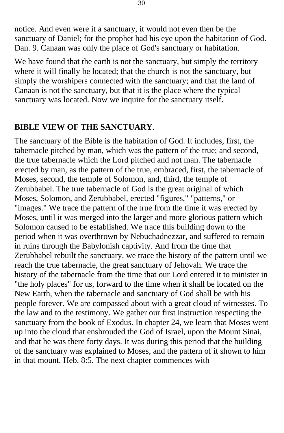notice. And even were it a sanctuary, it would not even then be the sanctuary of Daniel; for the prophet had his eye upon the habitation of God. Dan. 9. Canaan was only the place of God's sanctuary or habitation.

We have found that the earth is not the sanctuary, but simply the territory where it will finally be located; that the church is not the sanctuary, but simply the worshipers connected with the sanctuary; and that the land of Canaan is not the sanctuary, but that it is the place where the typical sanctuary was located. Now we inquire for the sanctuary itself.

### **BIBLE VIEW OF THE SANCTUARY**.

The sanctuary of the Bible is the habitation of God. It includes, first, the tabernacle pitched by man, which was the pattern of the true; and second, the true tabernacle which the Lord pitched and not man. The tabernacle erected by man, as the pattern of the true, embraced, first, the tabernacle of Moses, second, the temple of Solomon, and, third, the temple of Zerubbabel. The true tabernacle of God is the great original of which Moses, Solomon, and Zerubbabel, erected "figures," "patterns," or "images." We trace the pattern of the true from the time it was erected by Moses, until it was merged into the larger and more glorious pattern which Solomon caused to be established. We trace this building down to the period when it was overthrown by Nebuchadnezzar, and suffered to remain in ruins through the Babylonish captivity. And from the time that Zerubbabel rebuilt the sanctuary, we trace the history of the pattern until we reach the true tabernacle, the great sanctuary of Jehovah. We trace the history of the tabernacle from the time that our Lord entered it to minister in "the holy places" for us, forward to the time when it shall be located on the New Earth, when the tabernacle and sanctuary of God shall be with his people forever. We are compassed about with a great cloud of witnesses. To the law and to the testimony. We gather our first instruction respecting the sanctuary from the book of Exodus. In chapter 24, we learn that Moses went up into the cloud that enshrouded the God of Israel, upon the Mount Sinai, and that he was there forty days. It was during this period that the building of the sanctuary was explained to Moses, and the pattern of it shown to him in that mount. Heb. 8:5. The next chapter commences with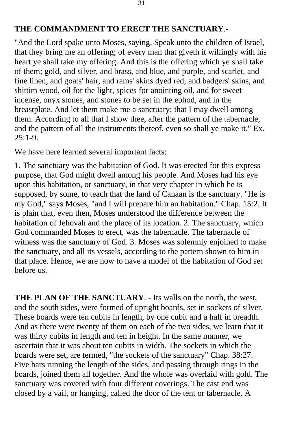#### **THE COMMANDMENT TO ERECT THE SANCTUARY**.-

"And the Lord spake unto Moses, saying, Speak unto the children of Israel, that they bring me an offering; of every man that giveth it willingly with his heart ye shall take my offering. And this is the offering which ye shall take of them; gold, and silver, and brass, and blue, and purple, and scarlet, and fine linen, and goats' hair, and rams' skins dyed red, and badgers' skins, and shittim wood, oil for the light, spices for anointing oil, and for sweet incense, onyx stones, and stones to be set in the ephod, and in the breastplate. And let them make me a sanctuary; that I may dwell among them. According to all that I show thee, after the pattern of the tabernacle, and the pattern of all the instruments thereof, even so shall ye make it." Ex.  $25:1-9$ .

We have here learned several important facts:

1. The sanctuary was the habitation of God. It was erected for this express purpose, that God might dwell among his people. And Moses had his eye upon this habitation, or sanctuary, in that very chapter in which he is supposed, by some, to teach that the land of Canaan is the sanctuary. "He is my God," says Moses, "and I will prepare him an habitation." Chap. 15:2. It is plain that, even then, Moses understood the difference between the habitation of Jehovah and the place of its location. 2. The sanctuary, which God commanded Moses to erect, was the tabernacle. The tabernacle of witness was the sanctuary of God. 3. Moses was solemnly enjoined to make the sanctuary, and all its vessels, according to the pattern shown to him in that place. Hence, we are now to have a model of the habitation of God set before us.

**THE PLAN OF THE SANCTUARY**. - Its walls on the north, the west, and the south sides, were formed of upright boards, set in sockets of silver. These boards were ten cubits in length, by one cubit and a half in breadth. And as there were twenty of them on each of the two sides, we learn that it was thirty cubits in length and ten in height. In the same manner, we ascertain that it was about ten cubits in width. The sockets in which the boards were set, are termed, "the sockets of the sanctuary" Chap. 38:27. Five bars running the length of the sides, and passing through rings in the boards, joined them all together. And the whole was overlaid with gold. The sanctuary was covered with four different coverings. The cast end was closed by a vail, or hanging, called the door of the tent or tabernacle. A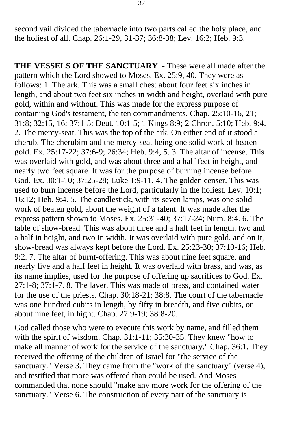second vail divided the tabernacle into two parts called the holy place, and the holiest of all. Chap. 26:1-29, 31-37; 36:8-38; Lev. 16:2; Heb. 9:3.

**THE VESSELS OF THE SANCTUARY**. - These were all made after the pattern which the Lord showed to Moses. Ex. 25:9, 40. They were as follows: 1. The ark. This was a small chest about four feet six inches in length, and about two feet six inches in width and height, overlaid with pure gold, within and without. This was made for the express purpose of containing God's testament, the ten commandments. Chap. 25:10-16, 21; 31:8; 32:15, 16; 37:1-5; Deut. 10:1-5; 1 Kings 8:9; 2 Chron. 5:10; Heb. 9:4. 2. The mercy-seat. This was the top of the ark. On either end of it stood a cherub. The cherubim and the mercy-seat being one solid work of beaten gold. Ex. 25:17-22; 37:6-9; 26:34; Heb. 9:4, 5. 3. The altar of incense. This was overlaid with gold, and was about three and a half feet in height, and nearly two feet square. It was for the purpose of burning incense before God. Ex. 30:1-10; 37:25-28; Luke 1:9-11. 4. The golden censer. This was used to burn incense before the Lord, particularly in the holiest. Lev. 10:1; 16:12; Heb. 9:4. 5. The candlestick, with its seven lamps, was one solid work of beaten gold, about the weight of a talent. It was made after the express pattern shown to Moses. Ex. 25:31-40; 37:17-24; Num. 8:4. 6. The table of show-bread. This was about three and a half feet in length, two and a half in height, and two in width. It was overlaid with pure gold, and on it, show-bread was always kept before the Lord. Ex. 25:23-30; 37:10-16; Heb. 9:2. 7. The altar of burnt-offering. This was about nine feet square, and nearly five and a half feet in height. It was overlaid with brass, and was, as its name implies, used for the purpose of offering up sacrifices to God. Ex. 27:1-8; 37:1-7. 8. The laver. This was made of brass, and contained water for the use of the priests. Chap. 30:18-21; 38:8. The court of the tabernacle was one hundred cubits in length, by fifty in breadth, and five cubits, or about nine feet, in hight. Chap. 27:9-19; 38:8-20.

God called those who were to execute this work by name, and filled them with the spirit of wisdom. Chap. 31:1-11; 35:30-35. They knew "how to make all manner of work for the service of the sanctuary." Chap. 36:1. They received the offering of the children of Israel for "the service of the sanctuary." Verse 3. They came from the "work of the sanctuary" (verse 4), and testified that more was offered than could be used. And Moses commanded that none should "make any more work for the offering of the sanctuary." Verse 6. The construction of every part of the sanctuary is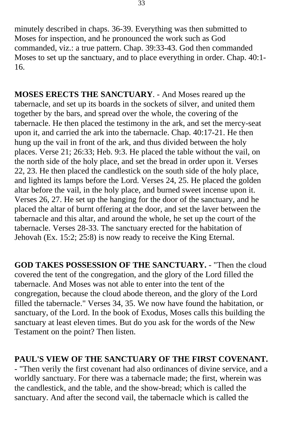minutely described in chaps. 36-39. Everything was then submitted to Moses for inspection, and he pronounced the work such as God commanded, viz.: a true pattern. Chap. 39:33-43. God then commanded Moses to set up the sanctuary, and to place everything in order. Chap. 40:1- 16.

**MOSES ERECTS THE SANCTUARY**. - And Moses reared up the tabernacle, and set up its boards in the sockets of silver, and united them together by the bars, and spread over the whole, the covering of the tabernacle. He then placed the testimony in the ark, and set the mercy-seat upon it, and carried the ark into the tabernacle. Chap. 40:17-21. He then hung up the vail in front of the ark, and thus divided between the holy places. Verse 21; 26:33; Heb. 9:3. He placed the table without the vail, on the north side of the holy place, and set the bread in order upon it. Verses 22, 23. He then placed the candlestick on the south side of the holy place, and lighted its lamps before the Lord. Verses 24, 25. He placed the golden altar before the vail, in the holy place, and burned sweet incense upon it. Verses 26, 27. He set up the hanging for the door of the sanctuary, and he placed the altar of burnt offering at the door, and set the laver between the tabernacle and this altar, and around the whole, he set up the court of the tabernacle. Verses 28-33. The sanctuary erected for the habitation of Jehovah (Ex. 15:2; 25:8) is now ready to receive the King Eternal.

**GOD TAKES POSSESSION OF THE SANCTUARY.** - "Then the cloud covered the tent of the congregation, and the glory of the Lord filled the tabernacle. And Moses was not able to enter into the tent of the congregation, because the cloud abode thereon, and the glory of the Lord filled the tabernacle." Verses 34, 35. We now have found the habitation, or sanctuary, of the Lord. In the book of Exodus, Moses calls this building the sanctuary at least eleven times. But do you ask for the words of the New Testament on the point? Then listen.

### **PAUL'S VIEW OF THE SANCTUARY OF THE FIRST COVENANT.**

- "Then verily the first covenant had also ordinances of divine service, and a worldly sanctuary. For there was a tabernacle made; the first, wherein was the candlestick, and the table, and the show-bread; which is called the sanctuary. And after the second vail, the tabernacle which is called the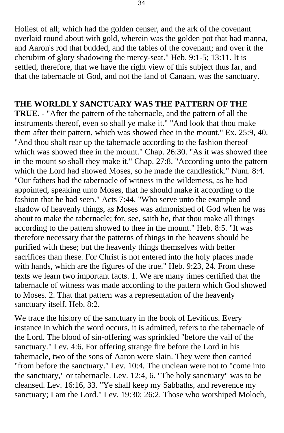Holiest of all; which had the golden censer, and the ark of the covenant overlaid round about with gold, wherein was the golden pot that had manna, and Aaron's rod that budded, and the tables of the covenant; and over it the cherubim of glory shadowing the mercy-seat." Heb. 9:1-5; 13:11. It is settled, therefore, that we have the right view of this subject thus far, and that the tabernacle of God, and not the land of Canaan, was the sanctuary.

#### **THE WORLDLY SANCTUARY WAS THE PATTERN OF THE**

**TRUE.** - "After the pattern of the tabernacle, and the pattern of all the instruments thereof, even so shall ye make it." "And look that thou make them after their pattern, which was showed thee in the mount." Ex. 25:9, 40. "And thou shalt rear up the tabernacle according to the fashion thereof which was showed thee in the mount." Chap. 26:30. "As it was showed thee in the mount so shall they make it." Chap. 27:8. "According unto the pattern which the Lord had showed Moses, so he made the candlestick." Num. 8:4. "Our fathers had the tabernacle of witness in the wilderness, as he had appointed, speaking unto Moses, that he should make it according to the fashion that he had seen." Acts 7:44. "Who serve unto the example and shadow of heavenly things, as Moses was admonished of God when he was about to make the tabernacle; for, see, saith he, that thou make all things according to the pattern showed to thee in the mount." Heb. 8:5. "It was therefore necessary that the patterns of things in the heavens should be purified with these; but the heavenly things themselves with better sacrifices than these. For Christ is not entered into the holy places made with hands, which are the figures of the true." Heb. 9:23, 24. From these texts we learn two important facts. 1. We are many times certified that the tabernacle of witness was made according to the pattern which God showed to Moses. 2. That that pattern was a representation of the heavenly sanctuary itself. Heb. 8:2.

We trace the history of the sanctuary in the book of Leviticus. Every instance in which the word occurs, it is admitted, refers to the tabernacle of the Lord. The blood of sin-offering was sprinkled "before the vail of the sanctuary." Lev. 4:6. For offering strange fire before the Lord in his tabernacle, two of the sons of Aaron were slain. They were then carried "from before the sanctuary." Lev. 10:4. The unclean were not to "come into the sanctuary," or tabernacle. Lev. 12:4, 6. "The holy sanctuary" was to be cleansed. Lev. 16:16, 33. "Ye shall keep my Sabbaths, and reverence my sanctuary; I am the Lord." Lev. 19:30; 26:2. Those who worshiped Moloch,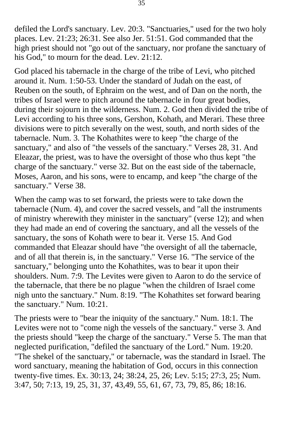defiled the Lord's sanctuary. Lev. 20:3. "Sanctuaries," used for the two holy places. Lev. 21:23; 26:31. See also Jer. 51:51. God commanded that the high priest should not "go out of the sanctuary, nor profane the sanctuary of his God," to mourn for the dead. Lev. 21:12.

God placed his tabernacle in the charge of the tribe of Levi, who pitched around it. Num. 1:50-53. Under the standard of Judah on the east, of Reuben on the south, of Ephraim on the west, and of Dan on the north, the tribes of Israel were to pitch around the tabernacle in four great bodies, during their sojourn in the wilderness. Num. 2. God then divided the tribe of Levi according to his three sons, Gershon, Kohath, and Merari. These three divisions were to pitch severally on the west, south, and north sides of the tabernacle. Num. 3. The Kohathites were to keep "the charge of the sanctuary," and also of "the vessels of the sanctuary." Verses 28, 31. And Eleazar, the priest, was to have the oversight of those who thus kept "the charge of the sanctuary." verse 32. But on the east side of the tabernacle, Moses, Aaron, and his sons, were to encamp, and keep "the charge of the sanctuary." Verse 38.

When the camp was to set forward, the priests were to take down the tabernacle (Num. 4), and cover the sacred vessels, and "all the instruments of ministry wherewith they minister in the sanctuary" (verse 12); and when they had made an end of covering the sanctuary, and all the vessels of the sanctuary, the sons of Kohath were to bear it. Verse 15. And God commanded that Eleazar should have "the oversight of all the tabernacle, and of all that therein is, in the sanctuary." Verse 16. "The service of the sanctuary," belonging unto the Kohathites, was to bear it upon their shoulders. Num. 7:9. The Levites were given to Aaron to do the service of the tabernacle, that there be no plague "when the children of Israel come nigh unto the sanctuary." Num. 8:19. "The Kohathites set forward bearing the sanctuary." Num. 10:21.

The priests were to "bear the iniquity of the sanctuary." Num. 18:1. The Levites were not to "come nigh the vessels of the sanctuary." verse 3. And the priests should "keep the charge of the sanctuary." Verse 5. The man that neglected purification, "defiled the sanctuary of the Lord." Num. 19:20. "The shekel of the sanctuary," or tabernacle, was the standard in Israel. The word sanctuary, meaning the habitation of God, occurs in this connection twenty-five times. Ex. 30:13, 24; 38:24, 25, 26; Lev. 5:15; 27:3, 25; Num. 3:47, 50; 7:13, 19, 25, 31, 37, 43,49, 55, 61, 67, 73, 79, 85, 86; 18:16.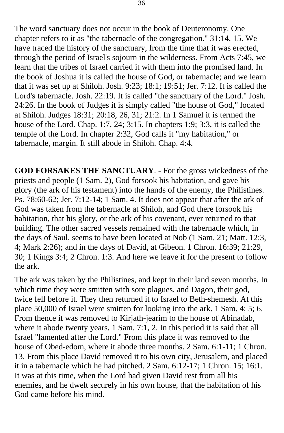The word sanctuary does not occur in the book of Deuteronomy. One chapter refers to it as "the tabernacle of the congregation." 31:14, 15. We have traced the history of the sanctuary, from the time that it was erected, through the period of Israel's sojourn in the wilderness. From Acts 7:45, we learn that the tribes of Israel carried it with them into the promised land. In the book of Joshua it is called the house of God, or tabernacle; and we learn that it was set up at Shiloh. Josh. 9:23; 18:1; 19:51; Jer. 7:12. It is called the Lord's tabernacle. Josh. 22:19. It is called "the sanctuary of the Lord." Josh. 24:26. In the book of Judges it is simply called "the house of God," located at Shiloh. Judges 18:31; 20:18, 26, 31; 21:2. In 1 Samuel it is termed the house of the Lord. Chap. 1:7, 24; 3:15. In chapters 1:9; 3:3, it is called the temple of the Lord. In chapter 2:32, God calls it "my habitation," or tabernacle, margin. It still abode in Shiloh. Chap. 4:4.

**GOD FORSAKES THE SANCTUARY**. - For the gross wickedness of the priests and people (1 Sam. 2), God forsook his habitation, and gave his glory (the ark of his testament) into the hands of the enemy, the Philistines. Ps. 78:60-62; Jer. 7:12-14; 1 Sam. 4. It does not appear that after the ark of God was taken from the tabernacle at Shiloh, and God there forsook his habitation, that his glory, or the ark of his covenant, ever returned to that building. The other sacred vessels remained with the tabernacle which, in the days of Saul, seems to have been located at Nob (1 Sam. 21; Matt. 12:3, 4; Mark 2:26); and in the days of David, at Gibeon. 1 Chron. 16:39; 21:29, 30; 1 Kings 3:4; 2 Chron. 1:3. And here we leave it for the present to follow the ark.

The ark was taken by the Philistines, and kept in their land seven months. In which time they were smitten with sore plagues, and Dagon, their god, twice fell before it. They then returned it to Israel to Beth-shemesh. At this place 50,000 of Israel were smitten for looking into the ark. 1 Sam. 4; 5; 6. From thence it was removed to Kirjath-jearim to the house of Abinadab, where it abode twenty years. 1 Sam. 7:1, 2. In this period it is said that all Israel "lamented after the Lord." From this place it was removed to the house of Obed-edom, where it abode three months. 2 Sam. 6:1-11; 1 Chron. 13. From this place David removed it to his own city, Jerusalem, and placed it in a tabernacle which he had pitched. 2 Sam. 6:12-17; 1 Chron. 15; 16:1. It was at this time, when the Lord had given David rest from all his enemies, and he dwelt securely in his own house, that the habitation of his God came before his mind.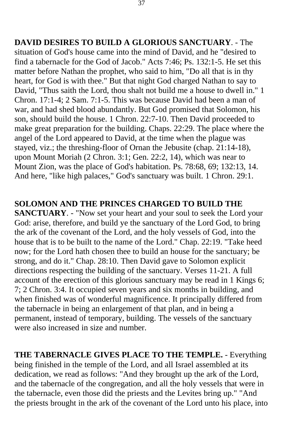**DAVID DESIRES TO BUILD A GLORIOUS SANCTUARY**. - The situation of God's house came into the mind of David, and he "desired to find a tabernacle for the God of Jacob." Acts 7:46; Ps. 132:1-5. He set this matter before Nathan the prophet, who said to him, "Do all that is in thy heart, for God is with thee." But that night God charged Nathan to say to David, "Thus saith the Lord, thou shalt not build me a house to dwell in." 1 Chron. 17:1-4; 2 Sam. 7:1-5. This was because David had been a man of war, and had shed blood abundantly. But God promised that Solomon, his son, should build the house. 1 Chron. 22:7-10. Then David proceeded to make great preparation for the building. Chaps. 22:29. The place where the angel of the Lord appeared to David, at the time when the plague was stayed, viz.; the threshing-floor of Ornan the Jebusite (chap. 21:14-18), upon Mount Moriah (2 Chron. 3:1; Gen. 22:2, 14), which was near to Mount Zion, was the place of God's habitation. Ps. 78:68, 69; 132:13, 14. And here, "like high palaces," God's sanctuary was built. 1 Chron. 29:1.

#### **SOLOMON AND THE PRINCES CHARGED TO BUILD THE**

**SANCTUARY**. - "Now set your heart and your soul to seek the Lord your God: arise, therefore, and build ye the sanctuary of the Lord God, to bring the ark of the covenant of the Lord, and the holy vessels of God, into the house that is to be built to the name of the Lord." Chap. 22:19. "Take heed now; for the Lord hath chosen thee to build an house for the sanctuary; be strong, and do it." Chap. 28:10. Then David gave to Solomon explicit directions respecting the building of the sanctuary. Verses 11-21. A full account of the erection of this glorious sanctuary may be read in 1 Kings 6; 7; 2 Chron. 3:4. It occupied seven years and six months in building, and when finished was of wonderful magnificence. It principally differed from the tabernacle in being an enlargement of that plan, and in being a permanent, instead of temporary, building. The vessels of the sanctuary were also increased in size and number.

**THE TABERNACLE GIVES PLACE TO THE TEMPLE.** - Everything being finished in the temple of the Lord, and all Israel assembled at its dedication, we read as follows: "And they brought up the ark of the Lord, and the tabernacle of the congregation, and all the holy vessels that were in the tabernacle, even those did the priests and the Levites bring up." "And the priests brought in the ark of the covenant of the Lord unto his place, into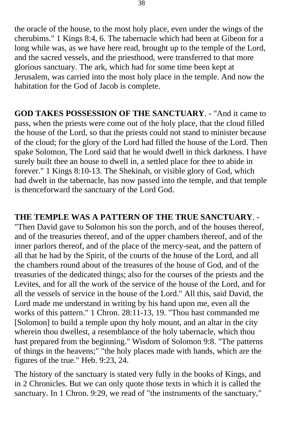the oracle of the house, to the most holy place, even under the wings of the cherubims." 1 Kings 8:4, 6. The tabernacle which had been at Gibeon for a long while was, as we have here read, brought up to the temple of the Lord, and the sacred vessels, and the priesthood, were transferred to that more glorious sanctuary. The ark, which had for some time been kept at Jerusalem, was carried into the most holy place in the temple. And now the habitation for the God of Jacob is complete.

**GOD TAKES POSSESSION OF THE SANCTUARY**. - "And it came to pass, when the priests were come out of the holy place, that the cloud filled the house of the Lord, so that the priests could not stand to minister because of the cloud; for the glory of the Lord had filled the house of the Lord. Then spake Solomon, The Lord said that he would dwell in thick darkness. I have surely built thee an house to dwell in, a settled place for thee to abide in forever." 1 Kings 8:10-13. The Shekinah, or visible glory of God, which had dwelt in the tabernacle, has now passed into the temple, and that temple is thenceforward the sanctuary of the Lord God.

**THE TEMPLE WAS A PATTERN OF THE TRUE SANCTUARY**. - "Then David gave to Solomon his son the porch, and of the houses thereof, and of the treasuries thereof, and of the upper chambers thereof, and of the inner parlors thereof, and of the place of the mercy-seat, and the pattern of all that he had by the Spirit, of the courts of the house of the Lord, and all the chambers round about of the treasures of the house of God, and of the treasuries of the dedicated things; also for the courses of the priests and the Levites, and for all the work of the service of the house of the Lord, and for all the vessels of service in the house of the Lord." All this, said David, the Lord made me understand in writing by his hand upon me, even all the works of this pattern." 1 Chron. 28:11-13, 19. "Thou hast commanded me [Solomon] to build a temple upon thy holy mount, and an altar in the city wherein thou dwellest, a resemblance of the holy tabernacle, which thou hast prepared from the beginning." Wisdom of Solomon 9:8. "The patterns of things in the heavens;" "the holy places made with hands, which are the figures of the true." Heb. 9:23, 24.

The history of the sanctuary is stated very fully in the books of Kings, and in 2 Chronicles. But we can only quote those texts in which it is called the sanctuary. In 1 Chron. 9:29, we read of "the instruments of the sanctuary,"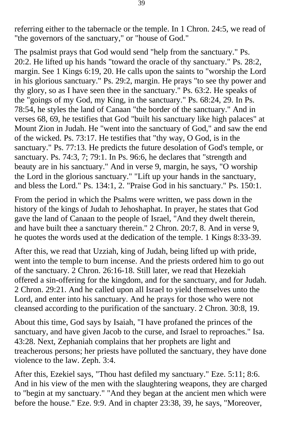referring either to the tabernacle or the temple. In 1 Chron. 24:5, we read of "the governors of the sanctuary," or "house of God."

The psalmist prays that God would send "help from the sanctuary." Ps. 20:2. He lifted up his hands "toward the oracle of thy sanctuary." Ps. 28:2, margin. See 1 Kings 6:19, 20. He calls upon the saints to "worship the Lord in his glorious sanctuary." Ps. 29:2, margin. He prays "to see thy power and thy glory, so as I have seen thee in the sanctuary." Ps. 63:2. He speaks of the "goings of my God, my King, in the sanctuary." Ps. 68:24, 29. In Ps. 78:54, he styles the land of Canaan "the border of the sanctuary." And in verses 68, 69, he testifies that God "built his sanctuary like high palaces" at Mount Zion in Judah. He "went into the sanctuary of God," and saw the end of the wicked. Ps. 73:17. He testifies that "thy way, O God, is in the sanctuary." Ps. 77:13. He predicts the future desolation of God's temple, or sanctuary. Ps. 74:3, 7; 79:1. In Ps. 96:6, he declares that "strength and beauty are in his sanctuary." And in verse 9, margin, he says, "O worship the Lord in the glorious sanctuary." "Lift up your hands in the sanctuary, and bless the Lord." Ps. 134:1, 2. "Praise God in his sanctuary." Ps. 150:1.

From the period in which the Psalms were written, we pass down in the history of the kings of Judah to Jehoshaphat. In prayer, he states that God gave the land of Canaan to the people of Israel, "And they dwelt therein, and have built thee a sanctuary therein." 2 Chron. 20:7, 8. And in verse 9, he quotes the words used at the dedication of the temple. 1 Kings 8:33-39.

After this, we read that Uzziah, king of Judah, being lifted up with pride, went into the temple to burn incense. And the priests ordered him to go out of the sanctuary. 2 Chron. 26:16-18. Still later, we read that Hezekiah offered a sin-offering for the kingdom, and for the sanctuary, and for Judah. 2 Chron. 29:21. And he called upon all Israel to yield themselves unto the Lord, and enter into his sanctuary. And he prays for those who were not cleansed according to the purification of the sanctuary. 2 Chron. 30:8, 19.

About this time, God says by Isaiah, "I have profaned the princes of the sanctuary, and have given Jacob to the curse, and Israel to reproaches." Isa. 43:28. Next, Zephaniah complains that her prophets are light and treacherous persons; her priests have polluted the sanctuary, they have done violence to the law. Zeph. 3:4.

After this, Ezekiel says, "Thou hast defiled my sanctuary." Eze. 5:11; 8:6. And in his view of the men with the slaughtering weapons, they are charged to "begin at my sanctuary." "And they began at the ancient men which were before the house." Eze. 9:9. And in chapter 23:38, 39, he says, "Moreover,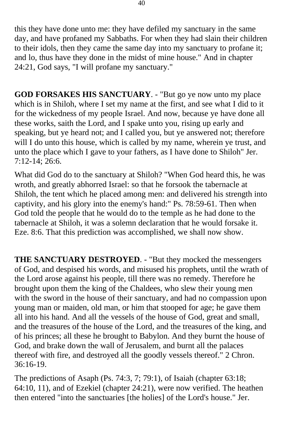this they have done unto me: they have defiled my sanctuary in the same day, and have profaned my Sabbaths. For when they had slain their children to their idols, then they came the same day into my sanctuary to profane it; and lo, thus have they done in the midst of mine house." And in chapter 24:21, God says, "I will profane my sanctuary."

**GOD FORSAKES HIS SANCTUARY**. - "But go ye now unto my place which is in Shiloh, where I set my name at the first, and see what I did to it for the wickedness of my people Israel. And now, because ye have done all these works, saith the Lord, and I spake unto you, rising up early and speaking, but ye heard not; and I called you, but ye answered not; therefore will I do unto this house, which is called by my name, wherein ye trust, and unto the place which I gave to your fathers, as I have done to Shiloh" Jer. 7:12-14; 26:6.

What did God do to the sanctuary at Shiloh? "When God heard this, he was wroth, and greatly abhorred Israel: so that he forsook the tabernacle at Shiloh, the tent which he placed among men: and delivered his strength into captivity, and his glory into the enemy's hand:" Ps. 78:59-61. Then when God told the people that he would do to the temple as he had done to the tabernacle at Shiloh, it was a solemn declaration that he would forsake it. Eze. 8:6. That this prediction was accomplished, we shall now show.

**THE SANCTUARY DESTROYED**. - "But they mocked the messengers of God, and despised his words, and misused his prophets, until the wrath of the Lord arose against his people, till there was no remedy. Therefore he brought upon them the king of the Chaldees, who slew their young men with the sword in the house of their sanctuary, and had no compassion upon young man or maiden, old man, or him that stooped for age; he gave them all into his hand. And all the vessels of the house of God, great and small, and the treasures of the house of the Lord, and the treasures of the king, and of his princes; all these he brought to Babylon. And they burnt the house of God, and brake down the wall of Jerusalem, and burnt all the palaces thereof with fire, and destroyed all the goodly vessels thereof." 2 Chron. 36:16-19.

The predictions of Asaph (Ps. 74:3, 7; 79:1), of Isaiah (chapter 63:18; 64:10, 11), and of Ezekiel (chapter 24:21), were now verified. The heathen then entered "into the sanctuaries [the holies] of the Lord's house." Jer.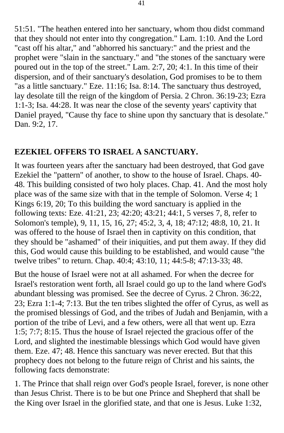51:51. "The heathen entered into her sanctuary, whom thou didst command that they should not enter into thy congregation." Lam. 1:10. And the Lord "cast off his altar," and "abhorred his sanctuary:" and the priest and the prophet were "slain in the sanctuary." and "the stones of the sanctuary were poured out in the top of the street." Lam. 2:7, 20; 4:1. In this time of their dispersion, and of their sanctuary's desolation, God promises to be to them "as a little sanctuary." Eze. 11:16; Isa. 8:14. The sanctuary thus destroyed, lay desolate till the reign of the kingdom of Persia. 2 Chron. 36:19-23; Ezra 1:1-3; Isa. 44:28. It was near the close of the seventy years' captivity that Daniel prayed, "Cause thy face to shine upon thy sanctuary that is desolate." Dan. 9:2, 17.

## **EZEKIEL OFFERS TO ISRAEL A SANCTUARY.**

It was fourteen years after the sanctuary had been destroyed, that God gave Ezekiel the "pattern" of another, to show to the house of Israel. Chaps. 40 48. This building consisted of two holy places. Chap. 41. And the most holy place was of the same size with that in the temple of Solomon. Verse 4; 1 Kings 6:19, 20; To this building the word sanctuary is applied in the following texts: Eze. 41:21, 23; 42:20; 43:21; 44:1, 5 verses 7, 8, refer to Solomon's temple), 9, 11, 15, 16, 27; 45:2, 3, 4, 18; 47:12; 48:8, 10, 21. It was offered to the house of Israel then in captivity on this condition, that they should be "ashamed" of their iniquities, and put them away. If they did this, God would cause this building to be established, and would cause "the twelve tribes" to return. Chap. 40:4; 43:10, 11; 44:5-8; 47:13-33; 48.

But the house of Israel were not at all ashamed. For when the decree for Israel's restoration went forth, all Israel could go up to the land where God's abundant blessing was promised. See the decree of Cyrus. 2 Chron. 36:22, 23; Ezra 1:1-4; 7:13. But the ten tribes slighted the offer of Cyrus, as well as the promised blessings of God, and the tribes of Judah and Benjamin, with a portion of the tribe of Levi, and a few others, were all that went up. Ezra 1:5; 7:7; 8:15. Thus the house of Israel rejected the gracious offer of the Lord, and slighted the inestimable blessings which God would have given them. Eze. 47; 48. Hence this sanctuary was never erected. But that this prophecy does not belong to the future reign of Christ and his saints, the following facts demonstrate:

1. The Prince that shall reign over God's people Israel, forever, is none other than Jesus Christ. There is to be but one Prince and Shepherd that shall be the King over Israel in the glorified state, and that one is Jesus. Luke 1:32,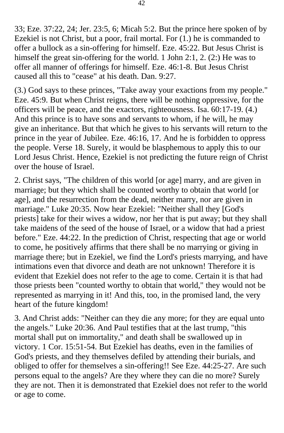33; Eze. 37:22, 24; Jer. 23:5, 6; Micah 5:2. But the prince here spoken of by Ezekiel is not Christ, but a poor, frail mortal. For (1.) he is commanded to offer a bullock as a sin-offering for himself. Eze. 45:22. But Jesus Christ is himself the great sin-offering for the world. 1 John 2:1, 2. (2:) He was to offer all manner of offerings for himself. Eze. 46:1-8. But Jesus Christ caused all this to "cease" at his death. Dan. 9:27.

(3.) God says to these princes, "Take away your exactions from my people." Eze. 45:9. But when Christ reigns, there will be nothing oppressive, for the officers will be peace, and the exactors, righteousness. Isa. 60:17-19. (4.) And this prince is to have sons and servants to whom, if he will, he may give an inheritance. But that which he gives to his servants will return to the prince in the year of Jubilee. Eze. 46:16, 17. And he is forbidden to oppress the people. Verse 18. Surely, it would be blasphemous to apply this to our Lord Jesus Christ. Hence, Ezekiel is not predicting the future reign of Christ over the house of Israel.

2. Christ says, "The children of this world [or age] marry, and are given in marriage; but they which shall be counted worthy to obtain that world [or age], and the resurrection from the dead, neither marry, nor are given in marriage." Luke 20:35. Now hear Ezekiel: "Neither shall they [God's priests] take for their wives a widow, nor her that is put away; but they shall take maidens of the seed of the house of Israel, or a widow that had a priest before." Eze. 44:22. In the prediction of Christ, respecting that age or world to come, he positively affirms that there shall be no marrying or giving in marriage there; but in Ezekiel, we find the Lord's priests marrying, and have intimations even that divorce and death are not unknown! Therefore it is evident that Ezekiel does not refer to the age to come. Certain it is that had those priests been "counted worthy to obtain that world," they would not be represented as marrying in it! And this, too, in the promised land, the very heart of the future kingdom!

3. And Christ adds: "Neither can they die any more; for they are equal unto the angels." Luke 20:36. And Paul testifies that at the last trump, "this mortal shall put on immortality," and death shall be swallowed up in victory. 1 Cor. 15:51-54. But Ezekiel has deaths, even in the families of God's priests, and they themselves defiled by attending their burials, and obliged to offer for themselves a sin-offering!! See Eze. 44:25-27. Are such persons equal to the angels? Are they where they can die no more? Surely they are not. Then it is demonstrated that Ezekiel does not refer to the world or age to come.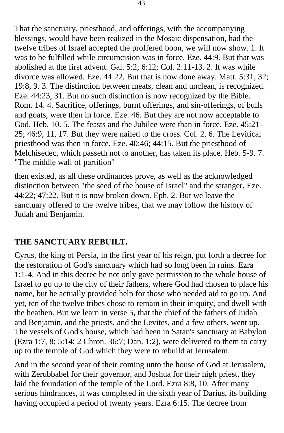That the sanctuary, priesthood, and offerings, with the accompanying blessings, would have been realized in the Mosaic dispensation, had the twelve tribes of Israel accepted the proffered boon, we will now show. 1. It was to be fulfilled while circumcision was in force. Eze. 44:9. But that was abolished at the first advent. Gal. 5:2; 6:12; Col. 2:11-13. 2. It was while divorce was allowed. Eze. 44:22. But that is now done away. Matt. 5:31, 32; 19:8, 9. 3. The distinction between meats, clean and unclean, is recognized. Eze. 44:23, 31. But no such distinction is now recognized by the Bible. Rom. 14. 4. Sacrifice, offerings, burnt offerings, and sin-offerings, of bulls and goats, were then in force. Eze. 46. But they are not now acceptable to God. Heb. 10. 5. The feasts and the Jubilee were than in force. Eze. 45:21- 25; 46:9, 11, 17. But they were nailed to the cross. Col. 2. 6. The Levitical priesthood was then in force. Eze. 40:46; 44:15. But the priesthood of Melchisedec, which passeth not to another, has taken its place. Heb. 5-9. 7. "The middle wall of partition"

then existed, as all these ordinances prove, as well as the acknowledged distinction between "the seed of the house of Israel" and the stranger. Eze. 44:22; 47:22. But it is now broken down. Eph. 2. But we leave the sanctuary offered to the twelve tribes, that we may follow the history of Judah and Benjamin.

# **THE SANCTUARY REBUILT.**

Cyrus, the king of Persia, in the first year of his reign, put forth a decree for the restoration of God's sanctuary which had so long been in ruins. Ezra 1:1-4. And in this decree he not only gave permission to the whole house of Israel to go up to the city of their fathers, where God had chosen to place his name, but he actually provided help for those who needed aid to go up. And yet, ten of the twelve tribes chose to remain in their iniquity, and dwell with the heathen. But we learn in verse 5, that the chief of the fathers of Judah and Benjamin, and the priests, and the Levites, and a few others, went up. The vessels of God's house, which had been in Satan's sanctuary at Babylon (Ezra 1:7, 8; 5:14; 2 Chron. 36:7; Dan. 1:2), were delivered to them to carry up to the temple of God which they were to rebuild at Jerusalem.

And in the second year of their coming unto the house of God at Jerusalem, with Zerubbabel for their governor, and Joshua for their high priest, they laid the foundation of the temple of the Lord. Ezra 8:8, 10. After many serious hindrances, it was completed in the sixth year of Darius, its building having occupied a period of twenty years. Ezra 6:15. The decree from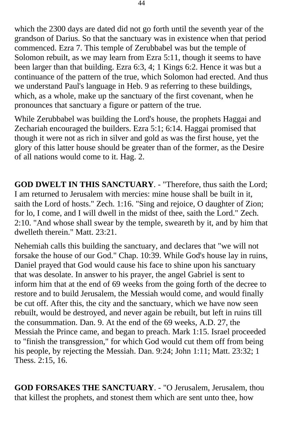which the 2300 days are dated did not go forth until the seventh year of the grandson of Darius. So that the sanctuary was in existence when that period commenced. Ezra 7. This temple of Zerubbabel was but the temple of Solomon rebuilt, as we may learn from Ezra 5:11, though it seems to have been larger than that building. Ezra 6:3, 4; 1 Kings 6:2. Hence it was but a continuance of the pattern of the true, which Solomon had erected. And thus we understand Paul's language in Heb. 9 as referring to these buildings, which, as a whole, make up the sanctuary of the first covenant, when he pronounces that sanctuary a figure or pattern of the true.

While Zerubbabel was building the Lord's house, the prophets Haggai and Zechariah encouraged the builders. Ezra 5:1; 6:14. Haggai promised that though it were not as rich in silver and gold as was the first house, yet the glory of this latter house should be greater than of the former, as the Desire of all nations would come to it. Hag. 2.

**GOD DWELT IN THIS SANCTUARY**. - "Therefore, thus saith the Lord; I am returned to Jerusalem with mercies: mine house shall be built in it, saith the Lord of hosts." Zech. 1:16. "Sing and rejoice, O daughter of Zion; for lo, I come, and I will dwell in the midst of thee, saith the Lord." Zech. 2:10. "And whose shall swear by the temple, sweareth by it, and by him that dwelleth therein." Matt. 23:21.

Nehemiah calls this building the sanctuary, and declares that "we will not forsake the house of our God." Chap. 10:39. While God's house lay in ruins, Daniel prayed that God would cause his face to shine upon his sanctuary that was desolate. In answer to his prayer, the angel Gabriel is sent to inform him that at the end of 69 weeks from the going forth of the decree to restore and to build Jerusalem, the Messiah would come, and would finally be cut off. After this, the city and the sanctuary, which we have now seen rebuilt, would be destroyed, and never again be rebuilt, but left in ruins till the consummation. Dan. 9. At the end of the 69 weeks, A.D. 27, the Messiah the Prince came, and began to preach. Mark 1:15. Israel proceeded to "finish the transgression," for which God would cut them off from being his people, by rejecting the Messiah. Dan. 9:24; John 1:11; Matt. 23:32; 1 Thess. 2:15, 16.

**GOD FORSAKES THE SANCTUARY**. - "O Jerusalem, Jerusalem, thou that killest the prophets, and stonest them which are sent unto thee, how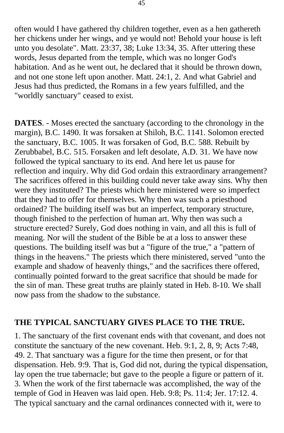often would I have gathered thy children together, even as a hen gathereth her chickens under her wings, and ye would not! Behold your house is left unto you desolate". Matt. 23:37, 38; Luke 13:34, 35. After uttering these words, Jesus departed from the temple, which was no longer God's habitation. And as he went out, he declared that it should be thrown down, and not one stone left upon another. Matt. 24:1, 2. And what Gabriel and Jesus had thus predicted, the Romans in a few years fulfilled, and the "worldly sanctuary" ceased to exist.

**DATES**. - Moses erected the sanctuary (according to the chronology in the margin), B.C. 1490. It was forsaken at Shiloh, B.C. 1141. Solomon erected the sanctuary, B.C. 1005. It was forsaken of God, B.C. 588. Rebuilt by Zerubbabel, B.C. 515. Forsaken and left desolate, A.D. 31. We have now followed the typical sanctuary to its end. And here let us pause for reflection and inquiry. Why did God ordain this extraordinary arrangement? The sacrifices offered in this building could never take away sins. Why then were they instituted? The priests which here ministered were so imperfect that they had to offer for themselves. Why then was such a priesthood ordained? The building itself was but an imperfect, temporary structure, though finished to the perfection of human art. Why then was such a structure erected? Surely, God does nothing in vain, and all this is full of meaning. Nor will the student of the Bible be at a loss to answer these questions. The building itself was but a "figure of the true," a "pattern of things in the heavens." The priests which there ministered, served "unto the example and shadow of heavenly things," and the sacrifices there offered, continually pointed forward to the great sacrifice that should be made for the sin of man. These great truths are plainly stated in Heb. 8-10. We shall now pass from the shadow to the substance.

### **THE TYPICAL SANCTUARY GIVES PLACE TO THE TRUE.**

1. The sanctuary of the first covenant ends with that covenant, and does not constitute the sanctuary of the new covenant. Heb. 9:1, 2, 8, 9; Acts 7:48, 49. 2. That sanctuary was a figure for the time then present, or for that dispensation. Heb. 9:9. That is, God did not, during the typical dispensation, lay open the true tabernacle; but gave to the people a figure or pattern of it. 3. When the work of the first tabernacle was accomplished, the way of the temple of God in Heaven was laid open. Heb. 9:8; Ps. 11:4; Jer. 17:12. 4. The typical sanctuary and the carnal ordinances connected with it, were to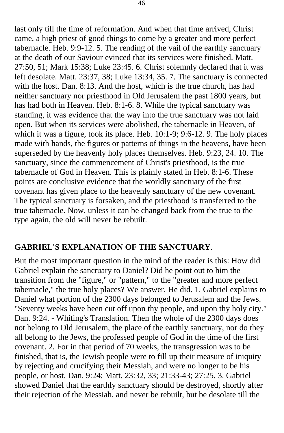last only till the time of reformation. And when that time arrived, Christ came, a high priest of good things to come by a greater and more perfect tabernacle. Heb. 9:9-12. 5. The rending of the vail of the earthly sanctuary at the death of our Saviour evinced that its services were finished. Matt. 27:50, 51; Mark 15:38; Luke 23:45. 6. Christ solemnly declared that it was left desolate. Matt. 23:37, 38; Luke 13:34, 35. 7. The sanctuary is connected with the host. Dan. 8:13. And the host, which is the true church, has had neither sanctuary nor priesthood in Old Jerusalem the past 1800 years, but has had both in Heaven. Heb. 8:1-6. 8. While the typical sanctuary was standing, it was evidence that the way into the true sanctuary was not laid open. But when its services were abolished, the tabernacle in Heaven, of which it was a figure, took its place. Heb. 10:1-9; 9:6-12. 9. The holy places made with hands, the figures or patterns of things in the heavens, have been superseded by the heavenly holy places themselves. Heb. 9:23, 24. 10. The sanctuary, since the commencement of Christ's priesthood, is the true tabernacle of God in Heaven. This is plainly stated in Heb. 8:1-6. These points are conclusive evidence that the worldly sanctuary of the first covenant has given place to the heavenly sanctuary of the new covenant. The typical sanctuary is forsaken, and the priesthood is transferred to the true tabernacle. Now, unless it can be changed back from the true to the type again, the old will never be rebuilt.

### **GABRIEL'S EXPLANATION OF THE SANCTUARY**.

But the most important question in the mind of the reader is this: How did Gabriel explain the sanctuary to Daniel? Did he point out to him the transition from the "figure," or "pattern," to the "greater and more perfect tabernacle," the true holy places? We answer, He did. 1. Gabriel explains to Daniel what portion of the 2300 days belonged to Jerusalem and the Jews. "Seventy weeks have been cut off upon thy people, and upon thy holy city." Dan. 9:24. - Whiting's Translation. Then the whole of the 2300 days does not belong to Old Jerusalem, the place of the earthly sanctuary, nor do they all belong to the Jews, the professed people of God in the time of the first covenant. 2. For in that period of 70 weeks, the transgression was to be finished, that is, the Jewish people were to fill up their measure of iniquity by rejecting and crucifying their Messiah, and were no longer to be his people, or host. Dan. 9:24; Matt. 23:32, 33; 21:33-43; 27:25. 3. Gabriel showed Daniel that the earthly sanctuary should be destroyed, shortly after their rejection of the Messiah, and never be rebuilt, but be desolate till the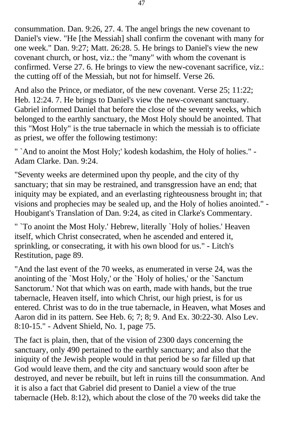consummation. Dan. 9:26, 27. 4. The angel brings the new covenant to Daniel's view. "He [the Messiah] shall confirm the covenant with many for one week." Dan. 9:27; Matt. 26:28. 5. He brings to Daniel's view the new covenant church, or host, viz.: the "many" with whom the covenant is confirmed. Verse 27. 6. He brings to view the new-covenant sacrifice, viz.: the cutting off of the Messiah, but not for himself. Verse 26.

And also the Prince, or mediator, of the new covenant. Verse 25; 11:22; Heb. 12:24. 7. He brings to Daniel's view the new-covenant sanctuary. Gabriel informed Daniel that before the close of the seventy weeks, which belonged to the earthly sanctuary, the Most Holy should be anointed. That this "Most Holy" is the true tabernacle in which the messiah is to officiate as priest, we offer the following testimony:

" `And to anoint the Most Holy;' kodesh kodashim, the Holy of holies." - Adam Clarke. Dan. 9:24.

"Seventy weeks are determined upon thy people, and the city of thy sanctuary; that sin may be restrained, and transgression have an end; that iniquity may be expiated, and an everlasting righteousness brought in; that visions and prophecies may be sealed up, and the Holy of holies anointed." - Houbigant's Translation of Dan. 9:24, as cited in Clarke's Commentary.

" `To anoint the Most Holy.' Hebrew, literally `Holy of holies.' Heaven itself, which Christ consecrated, when he ascended and entered it, sprinkling, or consecrating, it with his own blood for us." - Litch's Restitution, page 89.

"And the last event of the 70 weeks, as enumerated in verse 24, was the anointing of the `Most Holy,' or the `Holy of holies,' or the `Sanctum Sanctorum.' Not that which was on earth, made with hands, but the true tabernacle, Heaven itself, into which Christ, our high priest, is for us entered. Christ was to do in the true tabernacle, in Heaven, what Moses and Aaron did in its pattern. See Heb. 6; 7; 8; 9. And Ex. 30:22-30. Also Lev. 8:10-15." - Advent Shield, No. 1, page 75.

The fact is plain, then, that of the vision of 2300 days concerning the sanctuary, only 490 pertained to the earthly sanctuary; and also that the iniquity of the Jewish people would in that period be so far filled up that God would leave them, and the city and sanctuary would soon after be destroyed, and never be rebuilt, but left in ruins till the consummation. And it is also a fact that Gabriel did present to Daniel a view of the true tabernacle (Heb. 8:12), which about the close of the 70 weeks did take the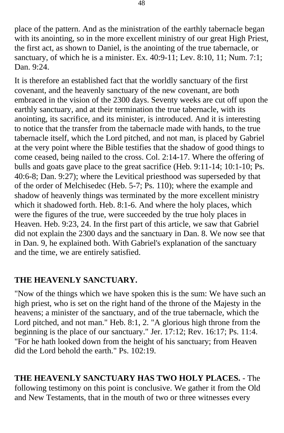place of the pattern. And as the ministration of the earthly tabernacle began with its anointing, so in the more excellent ministry of our great High Priest, the first act, as shown to Daniel, is the anointing of the true tabernacle, or sanctuary, of which he is a minister. Ex. 40:9-11; Lev. 8:10, 11; Num. 7:1; Dan. 9:24.

It is therefore an established fact that the worldly sanctuary of the first covenant, and the heavenly sanctuary of the new covenant, are both embraced in the vision of the 2300 days. Seventy weeks are cut off upon the earthly sanctuary, and at their termination the true tabernacle, with its anointing, its sacrifice, and its minister, is introduced. And it is interesting to notice that the transfer from the tabernacle made with hands, to the true tabernacle itself, which the Lord pitched, and not man, is placed by Gabriel at the very point where the Bible testifies that the shadow of good things to come ceased, being nailed to the cross. Col. 2:14-17. Where the offering of bulls and goats gave place to the great sacrifice (Heb. 9:11-14; 10:1-10; Ps. 40:6-8; Dan. 9:27); where the Levitical priesthood was superseded by that of the order of Melchisedec (Heb. 5-7; Ps. 110); where the example and shadow of heavenly things was terminated by the more excellent ministry which it shadowed forth. Heb. 8:1-6. And where the holy places, which were the figures of the true, were succeeded by the true holy places in Heaven. Heb. 9:23, 24. In the first part of this article, we saw that Gabriel did not explain the 2300 days and the sanctuary in Dan. 8. We now see that in Dan. 9, he explained both. With Gabriel's explanation of the sanctuary and the time, we are entirely satisfied.

### **THE HEAVENLY SANCTUARY.**

"Now of the things which we have spoken this is the sum: We have such an high priest, who is set on the right hand of the throne of the Majesty in the heavens; a minister of the sanctuary, and of the true tabernacle, which the Lord pitched, and not man." Heb. 8:1, 2. "A glorious high throne from the beginning is the place of our sanctuary." Jer. 17:12; Rev. 16:17; Ps. 11:4. "For he hath looked down from the height of his sanctuary; from Heaven did the Lord behold the earth." Ps. 102:19.

**THE HEAVENLY SANCTUARY HAS TWO HOLY PLACES.** - The following testimony on this point is conclusive. We gather it from the Old and New Testaments, that in the mouth of two or three witnesses every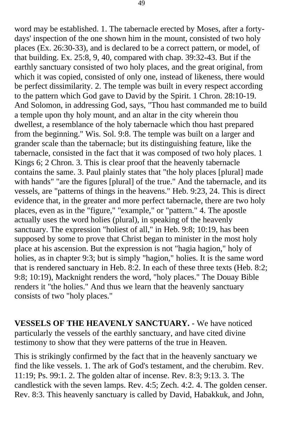word may be established. 1. The tabernacle erected by Moses, after a fortydays' inspection of the one shown him in the mount, consisted of two holy places (Ex. 26:30-33), and is declared to be a correct pattern, or model, of that building. Ex. 25:8, 9, 40, compared with chap. 39:32-43. But if the earthly sanctuary consisted of two holy places, and the great original, from which it was copied, consisted of only one, instead of likeness, there would be perfect dissimilarity. 2. The temple was built in every respect according to the pattern which God gave to David by the Spirit. 1 Chron. 28:10-19. And Solomon, in addressing God, says, "Thou hast commanded me to build a temple upon thy holy mount, and an altar in the city wherein thou dwellest, a resemblance of the holy tabernacle which thou hast prepared from the beginning." Wis. Sol. 9:8. The temple was built on a larger and grander scale than the tabernacle; but its distinguishing feature, like the tabernacle, consisted in the fact that it was composed of two holy places. 1 Kings 6; 2 Chron. 3. This is clear proof that the heavenly tabernacle contains the same. 3. Paul plainly states that "the holy places [plural] made with hands" "are the figures [plural] of the true." And the tabernacle, and its vessels, are "patterns of things in the heavens." Heb. 9:23, 24. This is direct evidence that, in the greater and more perfect tabernacle, there are two holy places, even as in the "figure," "example," or "pattern." 4. The apostle actually uses the word holies (plural), in speaking of the heavenly sanctuary. The expression "holiest of all," in Heb. 9:8; 10:19, has been supposed by some to prove that Christ began to minister in the most holy place at his ascension. But the expression is not "hagia hagion," holy of holies, as in chapter 9:3; but is simply "hagion," holies. It is the same word that is rendered sanctuary in Heb. 8:2. In each of these three texts (Heb. 8:2; 9:8; 10:19), Macknight renders the word, "holy places." The Douay Bible renders it "the holies." And thus we learn that the heavenly sanctuary consists of two "holy places."

**VESSELS OF THE HEAVENLY SANCTUARY.** - We have noticed particularly the vessels of the earthly sanctuary, and have cited divine testimony to show that they were patterns of the true in Heaven.

This is strikingly confirmed by the fact that in the heavenly sanctuary we find the like vessels. 1. The ark of God's testament, and the cherubim. Rev. 11:19; Ps. 99:1. 2. The golden altar of incense. Rev. 8:3; 9:13. 3. The candlestick with the seven lamps. Rev. 4:5; Zech. 4:2. 4. The golden censer. Rev. 8:3. This heavenly sanctuary is called by David, Habakkuk, and John,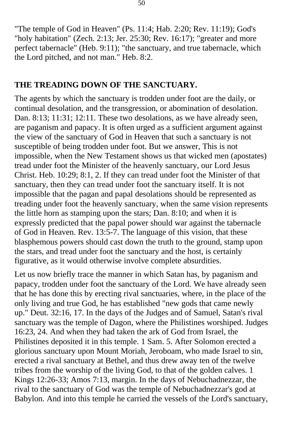"The temple of God in Heaven" (Ps. 11:4; Hab. 2:20; Rev. 11:19); God's "holy habitation" (Zech. 2:13; Jer. 25:30; Rev. 16:17); "greater and more perfect tabernacle" (Heb. 9:11); "the sanctuary, and true tabernacle, which the Lord pitched, and not man." Heb. 8:2.

#### **THE TREADING DOWN OF THE SANCTUARY.**

The agents by which the sanctuary is trodden under foot are the daily, or continual desolation, and the transgression, or abomination of desolation. Dan. 8:13; 11:31; 12:11. These two desolations, as we have already seen, are paganism and papacy. It is often urged as a sufficient argument against the view of the sanctuary of God in Heaven that such a sanctuary is not susceptible of being trodden under foot. But we answer, This is not impossible, when the New Testament shows us that wicked men (apostates) tread under foot the Minister of the heavenly sanctuary, our Lord Jesus Christ. Heb. 10:29; 8:1, 2. If they can tread under foot the Minister of that sanctuary, then they can tread under foot the sanctuary itself. It is not impossible that the pagan and papal desolations should be represented as treading under foot the heavenly sanctuary, when the same vision represents the little horn as stamping upon the stars; Dan. 8:10; and when it is expressly predicted that the papal power should war against the tabernacle of God in Heaven. Rev. 13:5-7. The language of this vision, that these blasphemous powers should cast down the truth to the ground, stamp upon the stars, and tread under foot the sanctuary and the host, is certainly figurative, as it would otherwise involve complete absurdities.

Let us now briefly trace the manner in which Satan has, by paganism and papacy, trodden under foot the sanctuary of the Lord. We have already seen that he has done this by erecting rival sanctuaries, where, in the place of the only living and true God, he has established "new gods that came newly up." Deut. 32:16, 17. In the days of the Judges and of Samuel, Satan's rival sanctuary was the temple of Dagon, where the Philistines worshiped. Judges 16:23, 24. And when they had taken the ark of God from Israel, the Philistines deposited it in this temple. 1 Sam. 5. After Solomon erected a glorious sanctuary upon Mount Moriah, Jeroboam, who made Israel to sin, erected a rival sanctuary at Bethel, and thus drew away ten of the twelve tribes from the worship of the living God, to that of the golden calves. 1 Kings 12:26-33; Amos 7:13, margin. In the days of Nebuchadnezzar, the rival to the sanctuary of God was the temple of Nebuchadnezzar's god at Babylon. And into this temple he carried the vessels of the Lord's sanctuary,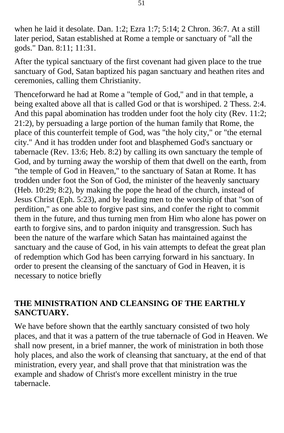when he laid it desolate. Dan. 1:2; Ezra 1:7; 5:14; 2 Chron. 36:7. At a still later period, Satan established at Rome a temple or sanctuary of "all the gods." Dan. 8:11; 11:31.

After the typical sanctuary of the first covenant had given place to the true sanctuary of God, Satan baptized his pagan sanctuary and heathen rites and ceremonies, calling them Christianity.

Thenceforward he had at Rome a "temple of God," and in that temple, a being exalted above all that is called God or that is worshiped. 2 Thess. 2:4. And this papal abomination has trodden under foot the holy city (Rev. 11:2; 21:2), by persuading a large portion of the human family that Rome, the place of this counterfeit temple of God, was "the holy city," or "the eternal city." And it has trodden under foot and blasphemed God's sanctuary or tabernacle (Rev. 13:6; Heb. 8:2) by calling its own sanctuary the temple of God, and by turning away the worship of them that dwell on the earth, from "the temple of God in Heaven," to the sanctuary of Satan at Rome. It has trodden under foot the Son of God, the minister of the heavenly sanctuary (Heb. 10:29; 8:2), by making the pope the head of the church, instead of Jesus Christ (Eph. 5:23), and by leading men to the worship of that "son of perdition," as one able to forgive past sins, and confer the right to commit them in the future, and thus turning men from Him who alone has power on earth to forgive sins, and to pardon iniquity and transgression. Such has been the nature of the warfare which Satan has maintained against the sanctuary and the cause of God, in his vain attempts to defeat the great plan of redemption which God has been carrying forward in his sanctuary. In order to present the cleansing of the sanctuary of God in Heaven, it is necessary to notice briefly

# **THE MINISTRATION AND CLEANSING OF THE EARTHLY SANCTUARY.**

We have before shown that the earthly sanctuary consisted of two holy places, and that it was a pattern of the true tabernacle of God in Heaven. We shall now present, in a brief manner, the work of ministration in both those holy places, and also the work of cleansing that sanctuary, at the end of that ministration, every year, and shall prove that that ministration was the example and shadow of Christ's more excellent ministry in the true tabernacle.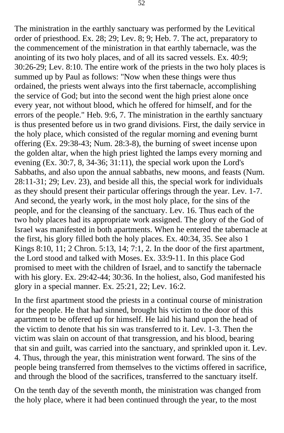The ministration in the earthly sanctuary was performed by the Levitical order of priesthood. Ex. 28; 29; Lev. 8; 9; Heb. 7. The act, preparatory to the commencement of the ministration in that earthly tabernacle, was the anointing of its two holy places, and of all its sacred vessels. Ex. 40:9; 30:26-29; Lev. 8:10. The entire work of the priests in the two holy places is summed up by Paul as follows: "Now when these things were thus ordained, the priests went always into the first tabernacle, accomplishing the service of God; but into the second went the high priest alone once every year, not without blood, which he offered for himself, and for the errors of the people." Heb. 9:6, 7. The ministration in the earthly sanctuary is thus presented before us in two grand divisions. First, the daily service in the holy place, which consisted of the regular morning and evening burnt offering (Ex. 29:38-43; Num. 28:3-8), the burning of sweet incense upon the golden altar, when the high priest lighted the lamps every morning and evening (Ex. 30:7, 8, 34-36; 31:11), the special work upon the Lord's Sabbaths, and also upon the annual sabbaths, new moons, and feasts (Num. 28:11-31; 29; Lev. 23), and beside all this, the special work for individuals as they should present their particular offerings through the year. Lev. 1-7. And second, the yearly work, in the most holy place, for the sins of the people, and for the cleansing of the sanctuary. Lev. 16. Thus each of the two holy places had its appropriate work assigned. The glory of the God of Israel was manifested in both apartments. When he entered the tabernacle at the first, his glory filled both the holy places. Ex. 40:34, 35. See also 1 Kings 8:10, 11; 2 Chron. 5:13, 14; 7:1, 2. In the door of the first apartment, the Lord stood and talked with Moses. Ex. 33:9-11. In this place God promised to meet with the children of Israel, and to sanctify the tabernacle with his glory. Ex. 29:42-44; 30:36. In the holiest, also, God manifested his glory in a special manner. Ex. 25:21, 22; Lev. 16:2.

In the first apartment stood the priests in a continual course of ministration for the people. He that had sinned, brought his victim to the door of this apartment to be offered up for himself. He laid his hand upon the head of the victim to denote that his sin was transferred to it. Lev. 1-3. Then the victim was slain on account of that transgression, and his blood, bearing that sin and guilt, was carried into the sanctuary, and sprinkled upon it. Lev. 4. Thus, through the year, this ministration went forward. The sins of the people being transferred from themselves to the victims offered in sacrifice, and through the blood of the sacrifices, transferred to the sanctuary itself.

On the tenth day of the seventh month, the ministration was changed from the holy place, where it had been continued through the year, to the most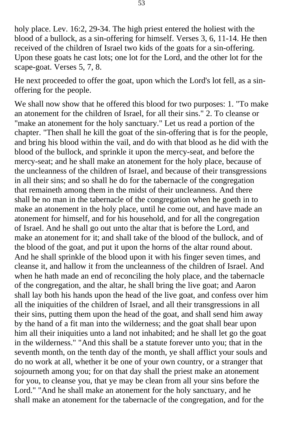holy place. Lev. 16:2, 29-34. The high priest entered the holiest with the blood of a bullock, as a sin-offering for himself. Verses 3, 6, 11-14. He then received of the children of Israel two kids of the goats for a sin-offering. Upon these goats he cast lots; one lot for the Lord, and the other lot for the scape-goat. Verses 5, 7, 8.

He next proceeded to offer the goat, upon which the Lord's lot fell, as a sinoffering for the people.

We shall now show that he offered this blood for two purposes: 1. "To make an atonement for the children of Israel, for all their sins." 2. To cleanse or "make an atonement for the holy sanctuary." Let us read a portion of the chapter. "Then shall he kill the goat of the sin-offering that is for the people, and bring his blood within the vail, and do with that blood as he did with the blood of the bullock, and sprinkle it upon the mercy-seat, and before the mercy-seat; and he shall make an atonement for the holy place, because of the uncleanness of the children of Israel, and because of their transgressions in all their sins; and so shall he do for the tabernacle of the congregation that remaineth among them in the midst of their uncleanness. And there shall be no man in the tabernacle of the congregation when he goeth in to make an atonement in the holy place, until he come out, and have made an atonement for himself, and for his household, and for all the congregation of Israel. And he shall go out unto the altar that is before the Lord, and make an atonement for it; and shall take of the blood of the bullock, and of the blood of the goat, and put it upon the horns of the altar round about. And he shall sprinkle of the blood upon it with his finger seven times, and cleanse it, and hallow it from the uncleanness of the children of Israel. And when he hath made an end of reconciling the holy place, and the tabernacle of the congregation, and the altar, he shall bring the live goat; and Aaron shall lay both his hands upon the head of the live goat, and confess over him all the iniquities of the children of Israel, and all their transgressions in all their sins, putting them upon the head of the goat, and shall send him away by the hand of a fit man into the wilderness; and the goat shall bear upon him all their iniquities unto a land not inhabited; and he shall let go the goat in the wilderness." "And this shall be a statute forever unto you; that in the seventh month, on the tenth day of the month, ye shall afflict your souls and do no work at all, whether it be one of your own country, or a stranger that sojourneth among you; for on that day shall the priest make an atonement for you, to cleanse you, that ye may be clean from all your sins before the Lord." "And he shall make an atonement for the holy sanctuary, and he shall make an atonement for the tabernacle of the congregation, and for the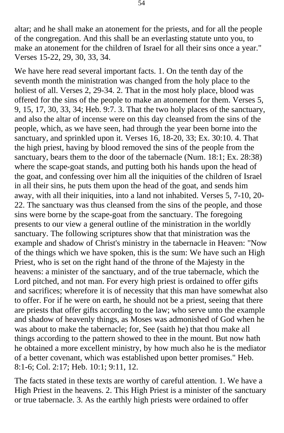altar; and he shall make an atonement for the priests, and for all the people of the congregation. And this shall be an everlasting statute unto you, to make an atonement for the children of Israel for all their sins once a year." Verses 15-22, 29, 30, 33, 34.

We have here read several important facts. 1. On the tenth day of the seventh month the ministration was changed from the holy place to the holiest of all. Verses 2, 29-34. 2. That in the most holy place, blood was offered for the sins of the people to make an atonement for them. Verses 5, 9, 15, 17, 30, 33, 34; Heb. 9:7. 3. That the two holy places of the sanctuary, and also the altar of incense were on this day cleansed from the sins of the people, which, as we have seen, had through the year been borne into the sanctuary, and sprinkled upon it. Verses 16, 18-20, 33; Ex. 30:10. 4. That the high priest, having by blood removed the sins of the people from the sanctuary, bears them to the door of the tabernacle (Num. 18:1; Ex. 28:38) where the scape-goat stands, and putting both his hands upon the head of the goat, and confessing over him all the iniquities of the children of Israel in all their sins, he puts them upon the head of the goat, and sends him away, with all their iniquities, into a land not inhabited. Verses 5, 7-10, 20 22. The sanctuary was thus cleansed from the sins of the people, and those sins were borne by the scape-goat from the sanctuary. The foregoing presents to our view a general outline of the ministration in the worldly sanctuary. The following scriptures show that that ministration was the example and shadow of Christ's ministry in the tabernacle in Heaven: "Now of the things which we have spoken, this is the sum: We have such an High Priest, who is set on the right hand of the throne of the Majesty in the heavens: a minister of the sanctuary, and of the true tabernacle, which the Lord pitched, and not man. For every high priest is ordained to offer gifts and sacrifices; wherefore it is of necessity that this man have somewhat also to offer. For if he were on earth, he should not be a priest, seeing that there are priests that offer gifts according to the law; who serve unto the example and shadow of heavenly things, as Moses was admonished of God when he was about to make the tabernacle; for, See (saith he) that thou make all things according to the pattern showed to thee in the mount. But now hath he obtained a more excellent ministry, by how much also he is the mediator of a better covenant, which was established upon better promises." Heb. 8:1-6; Col. 2:17; Heb. 10:1; 9:11, 12.

The facts stated in these texts are worthy of careful attention. 1. We have a High Priest in the heavens. 2. This High Priest is a minister of the sanctuary or true tabernacle. 3. As the earthly high priests were ordained to offer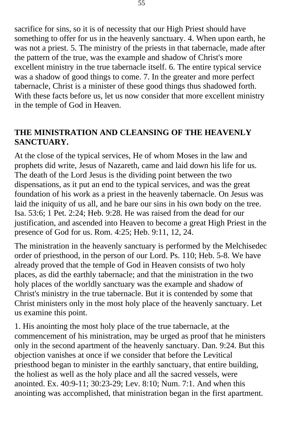sacrifice for sins, so it is of necessity that our High Priest should have something to offer for us in the heavenly sanctuary. 4. When upon earth, he was not a priest. 5. The ministry of the priests in that tabernacle, made after the pattern of the true, was the example and shadow of Christ's more excellent ministry in the true tabernacle itself. 6. The entire typical service was a shadow of good things to come. 7. In the greater and more perfect tabernacle, Christ is a minister of these good things thus shadowed forth. With these facts before us, let us now consider that more excellent ministry in the temple of God in Heaven.

## **THE MINISTRATION AND CLEANSING OF THE HEAVENLY SANCTUARY.**

At the close of the typical services, He of whom Moses in the law and prophets did write, Jesus of Nazareth, came and laid down his life for us. The death of the Lord Jesus is the dividing point between the two dispensations, as it put an end to the typical services, and was the great foundation of his work as a priest in the heavenly tabernacle. On Jesus was laid the iniquity of us all, and he bare our sins in his own body on the tree. Isa. 53:6; 1 Pet. 2:24; Heb. 9:28. He was raised from the dead for our justification, and ascended into Heaven to become a great High Priest in the presence of God for us. Rom. 4:25; Heb. 9:11, 12, 24.

The ministration in the heavenly sanctuary is performed by the Melchisedec order of priesthood, in the person of our Lord. Ps. 110; Heb. 5-8. We have already proved that the temple of God in Heaven consists of two holy places, as did the earthly tabernacle; and that the ministration in the two holy places of the worldly sanctuary was the example and shadow of Christ's ministry in the true tabernacle. But it is contended by some that Christ ministers only in the most holy place of the heavenly sanctuary. Let us examine this point.

1. His anointing the most holy place of the true tabernacle, at the commencement of his ministration, may be urged as proof that he ministers only in the second apartment of the heavenly sanctuary. Dan. 9:24. But this objection vanishes at once if we consider that before the Levitical priesthood began to minister in the earthly sanctuary, that entire building, the holiest as well as the holy place and all the sacred vessels, were anointed. Ex. 40:9-11; 30:23-29; Lev. 8:10; Num. 7:1. And when this anointing was accomplished, that ministration began in the first apartment.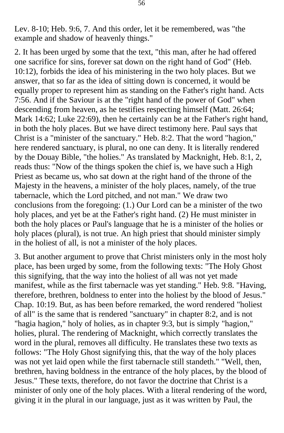Lev. 8-10; Heb. 9:6, 7. And this order, let it be remembered, was "the example and shadow of heavenly things."

2. It has been urged by some that the text, "this man, after he had offered one sacrifice for sins, forever sat down on the right hand of God" (Heb. 10:12), forbids the idea of his ministering in the two holy places. But we answer, that so far as the idea of sitting down is concerned, it would be equally proper to represent him as standing on the Father's right hand. Acts 7:56. And if the Saviour is at the "right hand of the power of God" when descending from heaven, as he testifies respecting himself (Matt. 26:64; Mark 14:62; Luke 22:69), then he certainly can be at the Father's right hand, in both the holy places. But we have direct testimony here. Paul says that Christ is a "minister of the sanctuary." Heb. 8:2. That the word "hagion," here rendered sanctuary, is plural, no one can deny. It is literally rendered by the Douay Bible, "the holies." As translated by Macknight, Heb. 8:1, 2, reads thus: "Now of the things spoken the chief is, we have such a High Priest as became us, who sat down at the right hand of the throne of the Majesty in the heavens, a minister of the holy places, namely, of the true tabernacle, which the Lord pitched, and not man." We draw two conclusions from the foregoing: (1.) Our Lord can be a minister of the two holy places, and yet be at the Father's right hand. (2) He must minister in both the holy places or Paul's language that he is a minister of the holies or holy places (plural), is not true. An high priest that should minister simply in the holiest of all, is not a minister of the holy places.

3. But another argument to prove that Christ ministers only in the most holy place, has been urged by some, from the following texts: "The Holy Ghost this signifying, that the way into the holiest of all was not yet made manifest, while as the first tabernacle was yet standing." Heb. 9:8. "Having, therefore, brethren, boldness to enter into the holiest by the blood of Jesus." Chap. 10:19. But, as has been before remarked, the word rendered "holiest of all" is the same that is rendered "sanctuary" in chapter 8:2, and is not "hagia hagion," holy of holies, as in chapter 9:3, but is simply "hagion," holies, plural. The rendering of Macknight, which correctly translates the word in the plural, removes all difficulty. He translates these two texts as follows: "The Holy Ghost signifying this, that the way of the holy places was not yet laid open while the first tabernacle still standeth." "Well, then, brethren, having boldness in the entrance of the holy places, by the blood of Jesus." These texts, therefore, do not favor the doctrine that Christ is a minister of only one of the holy places. With a literal rendering of the word, giving it in the plural in our language, just as it was written by Paul, the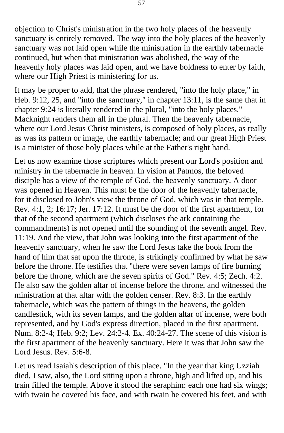objection to Christ's ministration in the two holy places of the heavenly sanctuary is entirely removed. The way into the holy places of the heavenly sanctuary was not laid open while the ministration in the earthly tabernacle continued, but when that ministration was abolished, the way of the heavenly holy places was laid open, and we have boldness to enter by faith, where our High Priest is ministering for us.

It may be proper to add, that the phrase rendered, "into the holy place," in Heb. 9:12, 25, and "into the sanctuary," in chapter 13:11, is the same that in chapter 9:24 is literally rendered in the plural, "into the holy places." Macknight renders them all in the plural. Then the heavenly tabernacle, where our Lord Jesus Christ ministers, is composed of holy places, as really as was its pattern or image, the earthly tabernacle; and our great High Priest is a minister of those holy places while at the Father's right hand.

Let us now examine those scriptures which present our Lord's position and ministry in the tabernacle in heaven. In vision at Patmos, the beloved disciple has a view of the temple of God, the heavenly sanctuary. A door was opened in Heaven. This must be the door of the heavenly tabernacle, for it disclosed to John's view the throne of God, which was in that temple. Rev. 4:1, 2; 16:17; Jer. 17:12. It must be the door of the first apartment, for that of the second apartment (which discloses the ark containing the commandments) is not opened until the sounding of the seventh angel. Rev. 11:19. And the view, that John was looking into the first apartment of the heavenly sanctuary, when he saw the Lord Jesus take the book from the hand of him that sat upon the throne, is strikingly confirmed by what he saw before the throne. He testifies that "there were seven lamps of fire burning before the throne, which are the seven spirits of God." Rev. 4:5; Zech. 4:2. He also saw the golden altar of incense before the throne, and witnessed the ministration at that altar with the golden censer. Rev. 8:3. In the earthly tabernacle, which was the pattern of things in the heavens, the golden candlestick, with its seven lamps, and the golden altar of incense, were both represented, and by God's express direction, placed in the first apartment. Num. 8:2-4; Heb. 9:2; Lev. 24:2-4. Ex. 40:24-27. The scene of this vision is the first apartment of the heavenly sanctuary. Here it was that John saw the Lord Jesus. Rev. 5:6-8.

Let us read Isaiah's description of this place. "In the year that king Uzziah died, I saw, also, the Lord sitting upon a throne, high and lifted up, and his train filled the temple. Above it stood the seraphim: each one had six wings; with twain he covered his face, and with twain he covered his feet, and with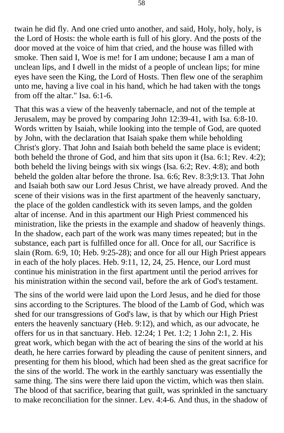twain he did fly. And one cried unto another, and said, Holy, holy, holy, is the Lord of Hosts: the whole earth is full of his glory. And the posts of the door moved at the voice of him that cried, and the house was filled with smoke. Then said I, Woe is me! for I am undone; because I am a man of unclean lips, and I dwell in the midst of a people of unclean lips; for mine eyes have seen the King, the Lord of Hosts. Then flew one of the seraphim unto me, having a live coal in his hand, which he had taken with the tongs from off the altar." Isa. 6:1-6.

That this was a view of the heavenly tabernacle, and not of the temple at Jerusalem, may be proved by comparing John 12:39-41, with Isa. 6:8-10. Words written by Isaiah, while looking into the temple of God, are quoted by John, with the declaration that Isaiah spake them while beholding Christ's glory. That John and Isaiah both beheld the same place is evident; both beheld the throne of God, and him that sits upon it (Isa. 6:1; Rev. 4:2); both beheld the living beings with six wings (Isa. 6:2; Rev. 4:8); and both beheld the golden altar before the throne. Isa. 6:6; Rev. 8:3;9:13. That John and Isaiah both saw our Lord Jesus Christ, we have already proved. And the scene of their visions was in the first apartment of the heavenly sanctuary, the place of the golden candlestick with its seven lamps, and the golden altar of incense. And in this apartment our High Priest commenced his ministration, like the priests in the example and shadow of heavenly things. In the shadow, each part of the work was many times repeated; but in the substance, each part is fulfilled once for all. Once for all, our Sacrifice is slain (Rom. 6:9, 10; Heb. 9:25-28); and once for all our High Priest appears in each of the holy places. Heb. 9:11, 12, 24, 25. Hence, our Lord must continue his ministration in the first apartment until the period arrives for his ministration within the second vail, before the ark of God's testament.

The sins of the world were laid upon the Lord Jesus, and he died for those sins according to the Scriptures. The blood of the Lamb of God, which was shed for our transgressions of God's law, is that by which our High Priest enters the heavenly sanctuary (Heb. 9:12), and which, as our advocate, he offers for us in that sanctuary. Heb. 12:24; 1 Pet. 1:2; 1 John 2:1, 2. His great work, which began with the act of bearing the sins of the world at his death, he here carries forward by pleading the cause of penitent sinners, and presenting for them his blood, which had been shed as the great sacrifice for the sins of the world. The work in the earthly sanctuary was essentially the same thing. The sins were there laid upon the victim, which was then slain. The blood of that sacrifice, bearing that guilt, was sprinkled in the sanctuary to make reconciliation for the sinner. Lev. 4:4-6. And thus, in the shadow of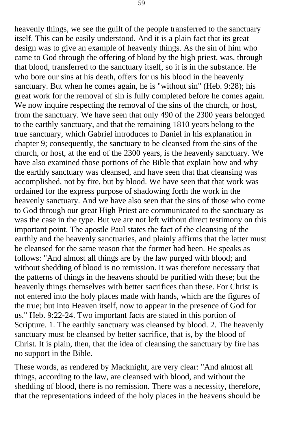heavenly things, we see the guilt of the people transferred to the sanctuary itself. This can be easily understood. And it is a plain fact that its great design was to give an example of heavenly things. As the sin of him who came to God through the offering of blood by the high priest, was, through that blood, transferred to the sanctuary itself, so it is in the substance. He who bore our sins at his death, offers for us his blood in the heavenly sanctuary. But when he comes again, he is "without sin" (Heb. 9:28); his great work for the removal of sin is fully completed before he comes again. We now inquire respecting the removal of the sins of the church, or host, from the sanctuary. We have seen that only 490 of the 2300 years belonged to the earthly sanctuary, and that the remaining 1810 years belong to the true sanctuary, which Gabriel introduces to Daniel in his explanation in chapter 9; consequently, the sanctuary to be cleansed from the sins of the church, or host, at the end of the 2300 years, is the heavenly sanctuary. We have also examined those portions of the Bible that explain how and why the earthly sanctuary was cleansed, and have seen that that cleansing was accomplished, not by fire, but by blood. We have seen that that work was ordained for the express purpose of shadowing forth the work in the heavenly sanctuary. And we have also seen that the sins of those who come to God through our great High Priest are communicated to the sanctuary as was the case in the type. But we are not left without direct testimony on this important point. The apostle Paul states the fact of the cleansing of the earthly and the heavenly sanctuaries, and plainly affirms that the latter must be cleansed for the same reason that the former had been. He speaks as follows: "And almost all things are by the law purged with blood; and without shedding of blood is no remission. It was therefore necessary that the patterns of things in the heavens should be purified with these; but the heavenly things themselves with better sacrifices than these. For Christ is not entered into the holy places made with hands, which are the figures of the true; but into Heaven itself, now to appear in the presence of God for us." Heb. 9:22-24. Two important facts are stated in this portion of Scripture. 1. The earthly sanctuary was cleansed by blood. 2. The heavenly sanctuary must be cleansed by better sacrifice, that is, by the blood of Christ. It is plain, then, that the idea of cleansing the sanctuary by fire has no support in the Bible.

These words, as rendered by Macknight, are very clear: "And almost all things, according to the law, are cleansed with blood, and without the shedding of blood, there is no remission. There was a necessity, therefore, that the representations indeed of the holy places in the heavens should be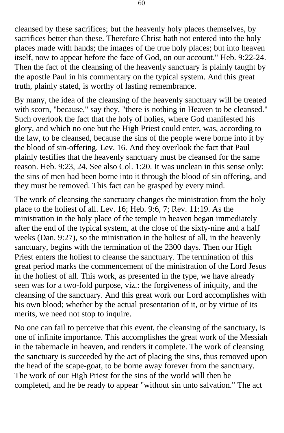cleansed by these sacrifices; but the heavenly holy places themselves, by sacrifices better than these. Therefore Christ hath not entered into the holy places made with hands; the images of the true holy places; but into heaven itself, now to appear before the face of God, on our account." Heb. 9:22-24. Then the fact of the cleansing of the heavenly sanctuary is plainly taught by the apostle Paul in his commentary on the typical system. And this great truth, plainly stated, is worthy of lasting remembrance.

By many, the idea of the cleansing of the heavenly sanctuary will be treated with scorn, "because," say they, "there is nothing in Heaven to be cleansed." Such overlook the fact that the holy of holies, where God manifested his glory, and which no one but the High Priest could enter, was, according to the law, to be cleansed, because the sins of the people were borne into it by the blood of sin-offering. Lev. 16. And they overlook the fact that Paul plainly testifies that the heavenly sanctuary must be cleansed for the same reason. Heb. 9:23, 24. See also Col. 1:20. It was unclean in this sense only: the sins of men had been borne into it through the blood of sin offering, and they must be removed. This fact can be grasped by every mind.

The work of cleansing the sanctuary changes the ministration from the holy place to the holiest of all. Lev. 16; Heb. 9:6, 7; Rev. 11:19. As the ministration in the holy place of the temple in heaven began immediately after the end of the typical system, at the close of the sixty-nine and a half weeks (Dan. 9:27), so the ministration in the holiest of all, in the heavenly sanctuary, begins with the termination of the 2300 days. Then our High Priest enters the holiest to cleanse the sanctuary. The termination of this great period marks the commencement of the ministration of the Lord Jesus in the holiest of all. This work, as presented in the type, we have already seen was for a two-fold purpose, viz.: the forgiveness of iniquity, and the cleansing of the sanctuary. And this great work our Lord accomplishes with his own blood; whether by the actual presentation of it, or by virtue of its merits, we need not stop to inquire.

No one can fail to perceive that this event, the cleansing of the sanctuary, is one of infinite importance. This accomplishes the great work of the Messiah in the tabernacle in heaven, and renders it complete. The work of cleansing the sanctuary is succeeded by the act of placing the sins, thus removed upon the head of the scape-goat, to be borne away forever from the sanctuary. The work of our High Priest for the sins of the world will then be completed, and he be ready to appear "without sin unto salvation." The act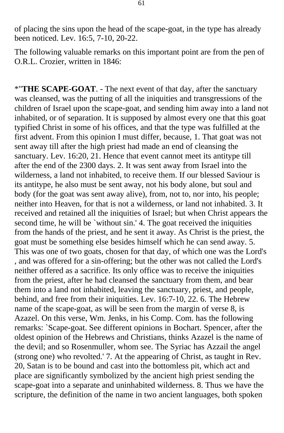of placing the sins upon the head of the scape-goat, in the type has already been noticed. Lev. 16:5, 7-10, 20-22.

The following valuable remarks on this important point are from the pen of O.R.L. Crozier, written in 1846:

\*"**THE SCAPE-GOAT**. - The next event of that day, after the sanctuary was cleansed, was the putting of all the iniquities and transgressions of the children of Israel upon the scape-goat, and sending him away into a land not inhabited, or of separation. It is supposed by almost every one that this goat typified Christ in some of his offices, and that the type was fulfilled at the first advent. From this opinion I must differ, because, 1. That goat was not sent away till after the high priest had made an end of cleansing the sanctuary. Lev. 16:20, 21. Hence that event cannot meet its antitype till after the end of the 2300 days. 2. It was sent away from Israel into the wilderness, a land not inhabited, to receive them. If our blessed Saviour is its antitype, he also must be sent away, not his body alone, but soul and body (for the goat was sent away alive), from, not to, nor into, his people; neither into Heaven, for that is not a wilderness, or land not inhabited. 3. It received and retained all the iniquities of Israel; but when Christ appears the second time, he will be `without sin.' 4. The goat received the iniquities from the hands of the priest, and he sent it away. As Christ is the priest, the goat must be something else besides himself which he can send away. 5. This was one of two goats, chosen for that day, of which one was the Lord's , and was offered for a sin-offering; but the other was not called the Lord's neither offered as a sacrifice. Its only office was to receive the iniquities from the priest, after he had cleansed the sanctuary from them, and bear them into a land not inhabited, leaving the sanctuary, priest, and people, behind, and free from their iniquities. Lev. 16:7-10, 22. 6. The Hebrew name of the scape-goat, as will be seen from the margin of verse 8, is Azazel. On this verse, Wm. Jenks, in his Comp. Com. has the following remarks: `Scape-goat. See different opinions in Bochart. Spencer, after the oldest opinion of the Hebrews and Christians, thinks Azazel is the name of the devil; and so Rosenmuller, whom see. The Syriac has Azzail the angel (strong one) who revolted.' 7. At the appearing of Christ, as taught in Rev. 20, Satan is to be bound and cast into the bottomless pit, which act and place are significantly symbolized by the ancient high priest sending the scape-goat into a separate and uninhabited wilderness. 8. Thus we have the scripture, the definition of the name in two ancient languages, both spoken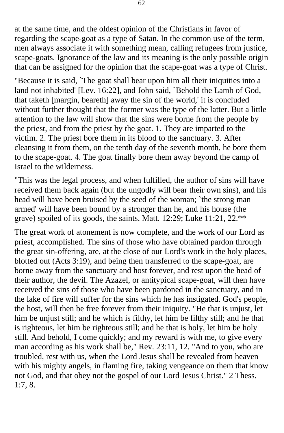at the same time, and the oldest opinion of the Christians in favor of regarding the scape-goat as a type of Satan. In the common use of the term, men always associate it with something mean, calling refugees from justice, scape-goats. Ignorance of the law and its meaning is the only possible origin that can be assigned for the opinion that the scape-goat was a type of Christ.

"Because it is said, `The goat shall bear upon him all their iniquities into a land not inhabited' [Lev. 16:22], and John said, `Behold the Lamb of God, that taketh [margin, beareth] away the sin of the world,' it is concluded without further thought that the former was the type of the latter. But a little attention to the law will show that the sins were borne from the people by the priest, and from the priest by the goat. 1. They are imparted to the victim. 2. The priest bore them in its blood to the sanctuary. 3. After cleansing it from them, on the tenth day of the seventh month, he bore them to the scape-goat. 4. The goat finally bore them away beyond the camp of Israel to the wilderness.

"This was the legal process, and when fulfilled, the author of sins will have received them back again (but the ungodly will bear their own sins), and his head will have been bruised by the seed of the woman; `the strong man armed' will have been bound by a stronger than he, and his house (the grave) spoiled of its goods, the saints. Matt. 12:29; Luke 11:21, 22.\*\*

The great work of atonement is now complete, and the work of our Lord as priest, accomplished. The sins of those who have obtained pardon through the great sin-offering, are, at the close of our Lord's work in the holy places, blotted out (Acts 3:19), and being then transferred to the scape-goat, are borne away from the sanctuary and host forever, and rest upon the head of their author, the devil. The Azazel, or antitypical scape-goat, will then have received the sins of those who have been pardoned in the sanctuary, and in the lake of fire will suffer for the sins which he has instigated. God's people, the host, will then be free forever from their iniquity. "He that is unjust, let him be unjust still; and he which is filthy, let him be filthy still; and he that is righteous, let him be righteous still; and he that is holy, let him be holy still. And behold, I come quickly; and my reward is with me, to give every man according as his work shall be," Rev. 23:11, 12. "And to you, who are troubled, rest with us, when the Lord Jesus shall be revealed from heaven with his mighty angels, in flaming fire, taking vengeance on them that know not God, and that obey not the gospel of our Lord Jesus Christ." 2 Thess. 1:7, 8.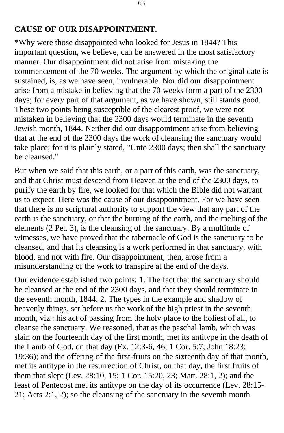#### **CAUSE OF OUR DISAPPOINTMENT.**

\*Why were those disappointed who looked for Jesus in 1844? This important question, we believe, can be answered in the most satisfactory manner. Our disappointment did not arise from mistaking the commencement of the 70 weeks. The argument by which the original date is sustained, is, as we have seen, invulnerable. Nor did our disappointment arise from a mistake in believing that the 70 weeks form a part of the 2300 days; for every part of that argument, as we have shown, still stands good. These two points being susceptible of the clearest proof, we were not mistaken in believing that the 2300 days would terminate in the seventh Jewish month, 1844. Neither did our disappointment arise from believing that at the end of the 2300 days the work of cleansing the sanctuary would take place; for it is plainly stated, "Unto 2300 days; then shall the sanctuary be cleansed."

But when we said that this earth, or a part of this earth, was the sanctuary, and that Christ must descend from Heaven at the end of the 2300 days, to purify the earth by fire, we looked for that which the Bible did not warrant us to expect. Here was the cause of our disappointment. For we have seen that there is no scriptural authority to support the view that any part of the earth is the sanctuary, or that the burning of the earth, and the melting of the elements (2 Pet. 3), is the cleansing of the sanctuary. By a multitude of witnesses, we have proved that the tabernacle of God is the sanctuary to be cleansed, and that its cleansing is a work performed in that sanctuary, with blood, and not with fire. Our disappointment, then, arose from a misunderstanding of the work to transpire at the end of the days.

Our evidence established two points: 1. The fact that the sanctuary should be cleansed at the end of the 2300 days, and that they should terminate in the seventh month, 1844. 2. The types in the example and shadow of heavenly things, set before us the work of the high priest in the seventh month, viz.: his act of passing from the holy place to the holiest of all, to cleanse the sanctuary. We reasoned, that as the paschal lamb, which was slain on the fourteenth day of the first month, met its antitype in the death of the Lamb of God, on that day (Ex. 12:3-6, 46; 1 Cor. 5:7; John 18:23; 19:36); and the offering of the first-fruits on the sixteenth day of that month, met its antitype in the resurrection of Christ, on that day, the first fruits of them that slept (Lev. 28:10, 15; 1 Cor. 15:20, 23; Matt. 28:1, 2); and the feast of Pentecost met its antitype on the day of its occurrence (Lev. 28:15- 21; Acts 2:1, 2); so the cleansing of the sanctuary in the seventh month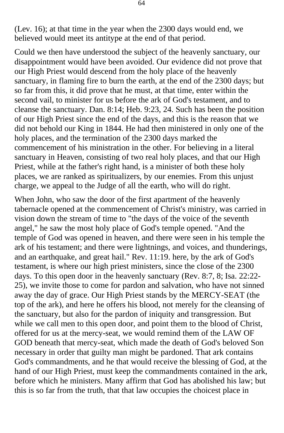(Lev. 16); at that time in the year when the 2300 days would end, we believed would meet its antitype at the end of that period.

Could we then have understood the subject of the heavenly sanctuary, our disappointment would have been avoided. Our evidence did not prove that our High Priest would descend from the holy place of the heavenly sanctuary, in flaming fire to burn the earth, at the end of the 2300 days; but so far from this, it did prove that he must, at that time, enter within the second vail, to minister for us before the ark of God's testament, and to cleanse the sanctuary. Dan. 8:14; Heb. 9:23, 24. Such has been the position of our High Priest since the end of the days, and this is the reason that we did not behold our King in 1844. He had then ministered in only one of the holy places, and the termination of the 2300 days marked the commencement of his ministration in the other. For believing in a literal sanctuary in Heaven, consisting of two real holy places, and that our High Priest, while at the father's right hand, is a minister of both these holy places, we are ranked as spiritualizers, by our enemies. From this unjust charge, we appeal to the Judge of all the earth, who will do right.

When John, who saw the door of the first apartment of the heavenly tabernacle opened at the commencement of Christ's ministry, was carried in vision down the stream of time to "the days of the voice of the seventh angel," he saw the most holy place of God's temple opened. "And the temple of God was opened in heaven, and there were seen in his temple the ark of his testament; and there were lightnings, and voices, and thunderings, and an earthquake, and great hail." Rev. 11:19. here, by the ark of God's testament, is where our high priest ministers, since the close of the 2300 days. To this open door in the heavenly sanctuary (Rev. 8:7, 8; Isa. 22:22- 25), we invite those to come for pardon and salvation, who have not sinned away the day of grace. Our High Priest stands by the MERCY-SEAT (the top of the ark), and here he offers his blood, not merely for the cleansing of the sanctuary, but also for the pardon of iniquity and transgression. But while we call men to this open door, and point them to the blood of Christ, offered for us at the mercy-seat, we would remind them of the LAW OF GOD beneath that mercy-seat, which made the death of God's beloved Son necessary in order that guilty man might be pardoned. That ark contains God's commandments, and he that would receive the blessing of God, at the hand of our High Priest, must keep the commandments contained in the ark, before which he ministers. Many affirm that God has abolished his law; but this is so far from the truth, that that law occupies the choicest place in